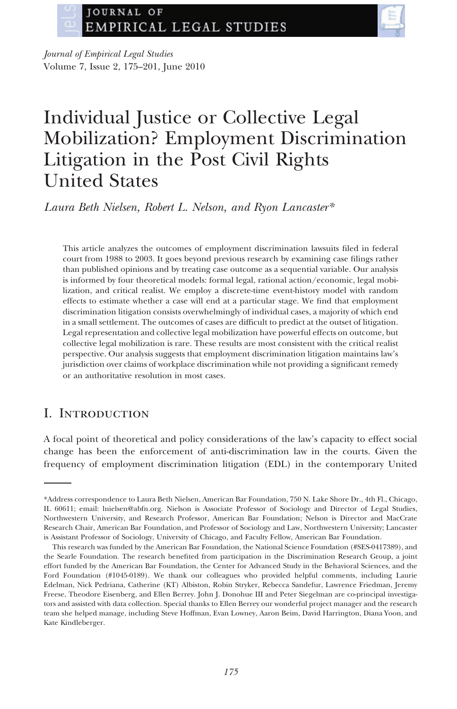

*Journal of Empirical Legal Studies* Volume 7, Issue 2, 175–201, June 2010

# Individual Justice or Collective Legal Mobilization? Employment Discrimination Litigation in the Post Civil Rights **United States**

*Laura Beth Nielsen, Robert L. Nelson, and Ryon Lancaster\**

This article analyzes the outcomes of employment discrimination lawsuits filed in federal court from 1988 to 2003. It goes beyond previous research by examining case filings rather than published opinions and by treating case outcome as a sequential variable. Our analysis is informed by four theoretical models: formal legal, rational action/economic, legal mobilization, and critical realist. We employ a discrete-time event-history model with random effects to estimate whether a case will end at a particular stage. We find that employment discrimination litigation consists overwhelmingly of individual cases, a majority of which end in a small settlement. The outcomes of cases are difficult to predict at the outset of litigation. Legal representation and collective legal mobilization have powerful effects on outcome, but collective legal mobilization is rare. These results are most consistent with the critical realist perspective. Our analysis suggests that employment discrimination litigation maintains law's jurisdiction over claims of workplace discrimination while not providing a significant remedy or an authoritative resolution in most cases.

### I. Introduction

A focal point of theoretical and policy considerations of the law's capacity to effect social change has been the enforcement of anti-discrimination law in the courts. Given the frequency of employment discrimination litigation (EDL) in the contemporary United

<sup>\*</sup>Address correspondence to Laura Beth Nielsen, American Bar Foundation, 750 N. Lake Shore Dr., 4th Fl., Chicago, IL 60611; email: lnielsen@abfn.org. Nielson is Associate Professor of Sociology and Director of Legal Studies, Northwestern University, and Research Professor, American Bar Foundation; Nelson is Director and MacCrate Research Chair, American Bar Foundation, and Professor of Sociology and Law, Northwestern University; Lancaster is Assistant Professor of Sociology, University of Chicago, and Faculty Fellow, American Bar Foundation.

This research was funded by the American Bar Foundation, the National Science Foundation (#SES-0417389), and the Searle Foundation. The research benefited from participation in the Discrimination Research Group, a joint effort funded by the American Bar Foundation, the Center for Advanced Study in the Behavioral Sciences, and the Ford Foundation (#1045-0189). We thank our colleagues who provided helpful comments, including Laurie Edelman, Nick Pedriana, Catherine (KT) Albiston, Robin Stryker, Rebecca Sandefur, Lawrence Friedman, Jeremy Freese, Theodore Eisenberg, and Ellen Berrey. John J. Donohue III and Peter Siegelman are co-principal investigators and assisted with data collection. Special thanks to Ellen Berrey our wonderful project manager and the research team she helped manage, including Steve Hoffman, Evan Lowney, Aaron Beim, David Harrington, Diana Yoon, and Kate Kindleberger.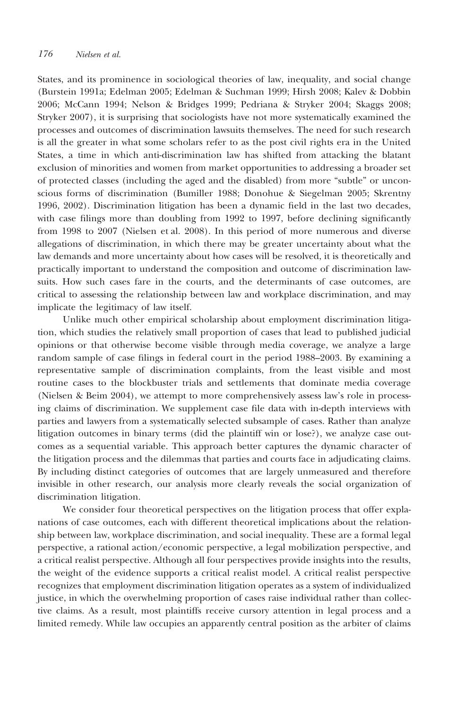States, and its prominence in sociological theories of law, inequality, and social change (Burstein 1991a; Edelman 2005; Edelman & Suchman 1999; Hirsh 2008; Kalev & Dobbin 2006; McCann 1994; Nelson & Bridges 1999; Pedriana & Stryker 2004; Skaggs 2008; Stryker 2007), it is surprising that sociologists have not more systematically examined the processes and outcomes of discrimination lawsuits themselves. The need for such research is all the greater in what some scholars refer to as the post civil rights era in the United States, a time in which anti-discrimination law has shifted from attacking the blatant exclusion of minorities and women from market opportunities to addressing a broader set of protected classes (including the aged and the disabled) from more "subtle" or unconscious forms of discrimination (Bumiller 1988; Donohue & Siegelman 2005; Skrentny 1996, 2002). Discrimination litigation has been a dynamic field in the last two decades, with case filings more than doubling from 1992 to 1997, before declining significantly from 1998 to 2007 (Nielsen et al. 2008). In this period of more numerous and diverse allegations of discrimination, in which there may be greater uncertainty about what the law demands and more uncertainty about how cases will be resolved, it is theoretically and practically important to understand the composition and outcome of discrimination lawsuits. How such cases fare in the courts, and the determinants of case outcomes, are critical to assessing the relationship between law and workplace discrimination, and may implicate the legitimacy of law itself.

Unlike much other empirical scholarship about employment discrimination litigation, which studies the relatively small proportion of cases that lead to published judicial opinions or that otherwise become visible through media coverage, we analyze a large random sample of case filings in federal court in the period 1988–2003. By examining a representative sample of discrimination complaints, from the least visible and most routine cases to the blockbuster trials and settlements that dominate media coverage (Nielsen & Beim 2004), we attempt to more comprehensively assess law's role in processing claims of discrimination. We supplement case file data with in-depth interviews with parties and lawyers from a systematically selected subsample of cases. Rather than analyze litigation outcomes in binary terms (did the plaintiff win or lose?), we analyze case outcomes as a sequential variable. This approach better captures the dynamic character of the litigation process and the dilemmas that parties and courts face in adjudicating claims. By including distinct categories of outcomes that are largely unmeasured and therefore invisible in other research, our analysis more clearly reveals the social organization of discrimination litigation.

We consider four theoretical perspectives on the litigation process that offer explanations of case outcomes, each with different theoretical implications about the relationship between law, workplace discrimination, and social inequality. These are a formal legal perspective, a rational action/economic perspective, a legal mobilization perspective, and a critical realist perspective. Although all four perspectives provide insights into the results, the weight of the evidence supports a critical realist model. A critical realist perspective recognizes that employment discrimination litigation operates as a system of individualized justice, in which the overwhelming proportion of cases raise individual rather than collective claims. As a result, most plaintiffs receive cursory attention in legal process and a limited remedy. While law occupies an apparently central position as the arbiter of claims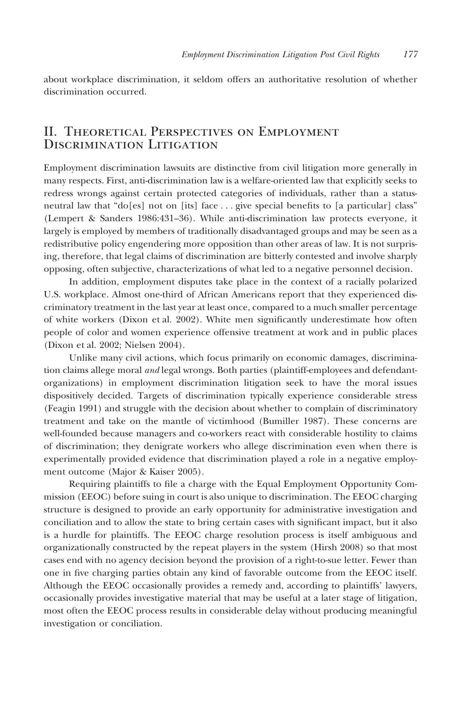about workplace discrimination, it seldom offers an authoritative resolution of whether discrimination occurred.

### II. Theoretical Perspectives on Employment DISCRIMINATION LITIGATION

Employment discrimination lawsuits are distinctive from civil litigation more generally in many respects. First, anti-discrimination law is a welfare-oriented law that explicitly seeks to redress wrongs against certain protected categories of individuals, rather than a statusneutral law that "do[es] not on [its] face ... give special benefits to [a particular] class" (Lempert & Sanders 1986:431–36). While anti-discrimination law protects everyone, it largely is employed by members of traditionally disadvantaged groups and may be seen as a redistributive policy engendering more opposition than other areas of law. It is not surprising, therefore, that legal claims of discrimination are bitterly contested and involve sharply opposing, often subjective, characterizations of what led to a negative personnel decision.

In addition, employment disputes take place in the context of a racially polarized U.S. workplace. Almost one-third of African Americans report that they experienced discriminatory treatment in the last year at least once, compared to a much smaller percentage of white workers (Dixon et al. 2002). White men significantly underestimate how often people of color and women experience offensive treatment at work and in public places (Dixon et al. 2002; Nielsen 2004).

Unlike many civil actions, which focus primarily on economic damages, discrimination claims allege moral *and* legal wrongs. Both parties (plaintiff-employees and defendantorganizations) in employment discrimination litigation seek to have the moral issues dispositively decided. Targets of discrimination typically experience considerable stress (Feagin 1991) and struggle with the decision about whether to complain of discriminatory treatment and take on the mantle of victimhood (Bumiller 1987). These concerns are well-founded because managers and co-workers react with considerable hostility to claims of discrimination; they denigrate workers who allege discrimination even when there is experimentally provided evidence that discrimination played a role in a negative employment outcome (Major & Kaiser 2005).

Requiring plaintiffs to file a charge with the Equal Employment Opportunity Commission (EEOC) before suing in court is also unique to discrimination. The EEOC charging structure is designed to provide an early opportunity for administrative investigation and conciliation and to allow the state to bring certain cases with significant impact, but it also is a hurdle for plaintiffs. The EEOC charge resolution process is itself ambiguous and organizationally constructed by the repeat players in the system (Hirsh 2008) so that most cases end with no agency decision beyond the provision of a right-to-sue letter. Fewer than one in five charging parties obtain any kind of favorable outcome from the EEOC itself. Although the EEOC occasionally provides a remedy and, according to plaintiffs' lawyers, occasionally provides investigative material that may be useful at a later stage of litigation, most often the EEOC process results in considerable delay without producing meaningful investigation or conciliation.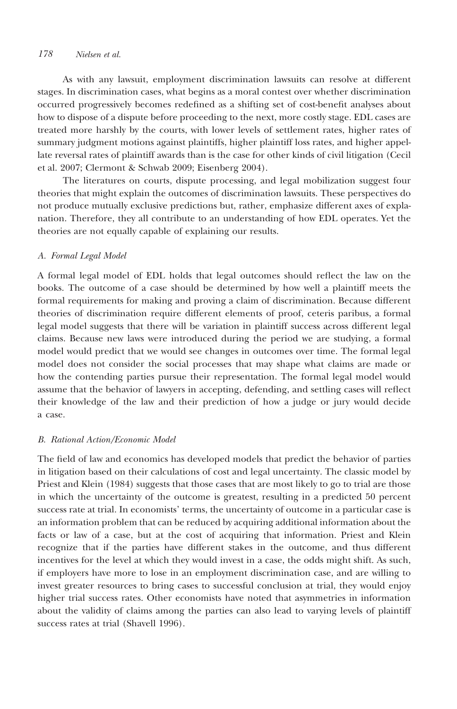### *178 Nielsen et al.*

As with any lawsuit, employment discrimination lawsuits can resolve at different stages. In discrimination cases, what begins as a moral contest over whether discrimination occurred progressively becomes redefined as a shifting set of cost-benefit analyses about how to dispose of a dispute before proceeding to the next, more costly stage. EDL cases are treated more harshly by the courts, with lower levels of settlement rates, higher rates of summary judgment motions against plaintiffs, higher plaintiff loss rates, and higher appellate reversal rates of plaintiff awards than is the case for other kinds of civil litigation (Cecil et al. 2007; Clermont & Schwab 2009; Eisenberg 2004).

The literatures on courts, dispute processing, and legal mobilization suggest four theories that might explain the outcomes of discrimination lawsuits. These perspectives do not produce mutually exclusive predictions but, rather, emphasize different axes of explanation. Therefore, they all contribute to an understanding of how EDL operates. Yet the theories are not equally capable of explaining our results.

### *A. Formal Legal Model*

A formal legal model of EDL holds that legal outcomes should reflect the law on the books. The outcome of a case should be determined by how well a plaintiff meets the formal requirements for making and proving a claim of discrimination. Because different theories of discrimination require different elements of proof, ceteris paribus, a formal legal model suggests that there will be variation in plaintiff success across different legal claims. Because new laws were introduced during the period we are studying, a formal model would predict that we would see changes in outcomes over time. The formal legal model does not consider the social processes that may shape what claims are made or how the contending parties pursue their representation. The formal legal model would assume that the behavior of lawyers in accepting, defending, and settling cases will reflect their knowledge of the law and their prediction of how a judge or jury would decide a case.

### *B. Rational Action/Economic Model*

The field of law and economics has developed models that predict the behavior of parties in litigation based on their calculations of cost and legal uncertainty. The classic model by Priest and Klein (1984) suggests that those cases that are most likely to go to trial are those in which the uncertainty of the outcome is greatest, resulting in a predicted 50 percent success rate at trial. In economists' terms, the uncertainty of outcome in a particular case is an information problem that can be reduced by acquiring additional information about the facts or law of a case, but at the cost of acquiring that information. Priest and Klein recognize that if the parties have different stakes in the outcome, and thus different incentives for the level at which they would invest in a case, the odds might shift. As such, if employers have more to lose in an employment discrimination case, and are willing to invest greater resources to bring cases to successful conclusion at trial, they would enjoy higher trial success rates. Other economists have noted that asymmetries in information about the validity of claims among the parties can also lead to varying levels of plaintiff success rates at trial (Shavell 1996).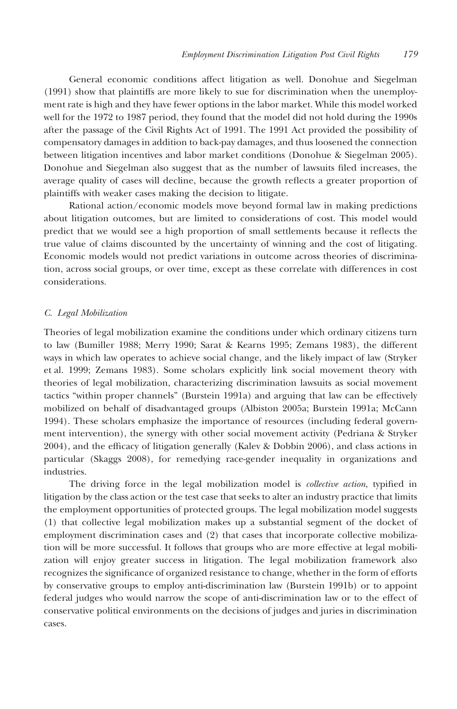General economic conditions affect litigation as well. Donohue and Siegelman (1991) show that plaintiffs are more likely to sue for discrimination when the unemployment rate is high and they have fewer options in the labor market. While this model worked well for the 1972 to 1987 period, they found that the model did not hold during the 1990s after the passage of the Civil Rights Act of 1991. The 1991 Act provided the possibility of compensatory damages in addition to back-pay damages, and thus loosened the connection between litigation incentives and labor market conditions (Donohue & Siegelman 2005). Donohue and Siegelman also suggest that as the number of lawsuits filed increases, the average quality of cases will decline, because the growth reflects a greater proportion of plaintiffs with weaker cases making the decision to litigate.

Rational action/economic models move beyond formal law in making predictions about litigation outcomes, but are limited to considerations of cost. This model would predict that we would see a high proportion of small settlements because it reflects the true value of claims discounted by the uncertainty of winning and the cost of litigating. Economic models would not predict variations in outcome across theories of discrimination, across social groups, or over time, except as these correlate with differences in cost considerations.

#### *C. Legal Mobilization*

Theories of legal mobilization examine the conditions under which ordinary citizens turn to law (Bumiller 1988; Merry 1990; Sarat & Kearns 1995; Zemans 1983), the different ways in which law operates to achieve social change, and the likely impact of law (Stryker et al. 1999; Zemans 1983). Some scholars explicitly link social movement theory with theories of legal mobilization, characterizing discrimination lawsuits as social movement tactics "within proper channels" (Burstein 1991a) and arguing that law can be effectively mobilized on behalf of disadvantaged groups (Albiston 2005a; Burstein 1991a; McCann 1994). These scholars emphasize the importance of resources (including federal government intervention), the synergy with other social movement activity (Pedriana & Stryker 2004), and the efficacy of litigation generally (Kalev & Dobbin 2006), and class actions in particular (Skaggs 2008), for remedying race-gender inequality in organizations and industries.

The driving force in the legal mobilization model is *collective action*, typified in litigation by the class action or the test case that seeks to alter an industry practice that limits the employment opportunities of protected groups. The legal mobilization model suggests (1) that collective legal mobilization makes up a substantial segment of the docket of employment discrimination cases and (2) that cases that incorporate collective mobilization will be more successful. It follows that groups who are more effective at legal mobilization will enjoy greater success in litigation. The legal mobilization framework also recognizes the significance of organized resistance to change, whether in the form of efforts by conservative groups to employ anti-discrimination law (Burstein 1991b) or to appoint federal judges who would narrow the scope of anti-discrimination law or to the effect of conservative political environments on the decisions of judges and juries in discrimination cases.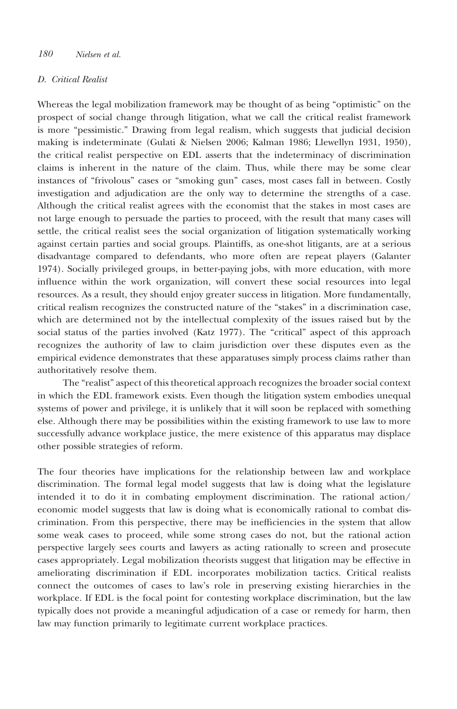### *D. Critical Realist*

Whereas the legal mobilization framework may be thought of as being "optimistic" on the prospect of social change through litigation, what we call the critical realist framework is more "pessimistic." Drawing from legal realism, which suggests that judicial decision making is indeterminate (Gulati & Nielsen 2006; Kalman 1986; Llewellyn 1931, 1950), the critical realist perspective on EDL asserts that the indeterminacy of discrimination claims is inherent in the nature of the claim. Thus, while there may be some clear instances of "frivolous" cases or "smoking gun" cases, most cases fall in between. Costly investigation and adjudication are the only way to determine the strengths of a case. Although the critical realist agrees with the economist that the stakes in most cases are not large enough to persuade the parties to proceed, with the result that many cases will settle, the critical realist sees the social organization of litigation systematically working against certain parties and social groups. Plaintiffs, as one-shot litigants, are at a serious disadvantage compared to defendants, who more often are repeat players (Galanter 1974). Socially privileged groups, in better-paying jobs, with more education, with more influence within the work organization, will convert these social resources into legal resources. As a result, they should enjoy greater success in litigation. More fundamentally, critical realism recognizes the constructed nature of the "stakes" in a discrimination case, which are determined not by the intellectual complexity of the issues raised but by the social status of the parties involved (Katz 1977). The "critical" aspect of this approach recognizes the authority of law to claim jurisdiction over these disputes even as the empirical evidence demonstrates that these apparatuses simply process claims rather than authoritatively resolve them.

The "realist" aspect of this theoretical approach recognizes the broader social context in which the EDL framework exists. Even though the litigation system embodies unequal systems of power and privilege, it is unlikely that it will soon be replaced with something else. Although there may be possibilities within the existing framework to use law to more successfully advance workplace justice, the mere existence of this apparatus may displace other possible strategies of reform.

The four theories have implications for the relationship between law and workplace discrimination. The formal legal model suggests that law is doing what the legislature intended it to do it in combating employment discrimination. The rational action/ $\theta$ economic model suggests that law is doing what is economically rational to combat discrimination. From this perspective, there may be inefficiencies in the system that allow some weak cases to proceed, while some strong cases do not, but the rational action perspective largely sees courts and lawyers as acting rationally to screen and prosecute cases appropriately. Legal mobilization theorists suggest that litigation may be effective in ameliorating discrimination if EDL incorporates mobilization tactics. Critical realists connect the outcomes of cases to law's role in preserving existing hierarchies in the workplace. If EDL is the focal point for contesting workplace discrimination, but the law typically does not provide a meaningful adjudication of a case or remedy for harm, then law may function primarily to legitimate current workplace practices.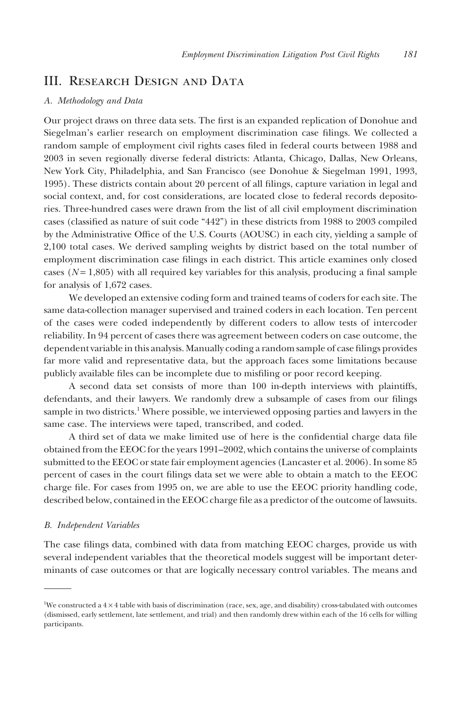### III. RESEARCH DESIGN AND DATA

### *A. Methodology and Data*

Our project draws on three data sets. The first is an expanded replication of Donohue and Siegelman's earlier research on employment discrimination case filings. We collected a random sample of employment civil rights cases filed in federal courts between 1988 and 2003 in seven regionally diverse federal districts: Atlanta, Chicago, Dallas, New Orleans, New York City, Philadelphia, and San Francisco (see Donohue & Siegelman 1991, 1993, 1995). These districts contain about 20 percent of all filings, capture variation in legal and social context, and, for cost considerations, are located close to federal records depositories. Three-hundred cases were drawn from the list of all civil employment discrimination cases (classified as nature of suit code "442") in these districts from 1988 to 2003 compiled by the Administrative Office of the U.S. Courts (AOUSC) in each city, yielding a sample of 2,100 total cases. We derived sampling weights by district based on the total number of employment discrimination case filings in each district. This article examines only closed cases  $(N=1,805)$  with all required key variables for this analysis, producing a final sample for analysis of 1,672 cases.

We developed an extensive coding form and trained teams of coders for each site. The same data-collection manager supervised and trained coders in each location. Ten percent of the cases were coded independently by different coders to allow tests of intercoder reliability. In 94 percent of cases there was agreement between coders on case outcome, the dependent variable in this analysis. Manually coding a random sample of case filings provides far more valid and representative data, but the approach faces some limitations because publicly available files can be incomplete due to misfiling or poor record keeping.

A second data set consists of more than 100 in-depth interviews with plaintiffs, defendants, and their lawyers. We randomly drew a subsample of cases from our filings sample in two districts.<sup>1</sup> Where possible, we interviewed opposing parties and lawyers in the same case. The interviews were taped, transcribed, and coded.

A third set of data we make limited use of here is the confidential charge data file obtained from the EEOC for the years 1991–2002, which contains the universe of complaints submitted to the EEOC or state fair employment agencies (Lancaster et al. 2006). In some 85 percent of cases in the court filings data set we were able to obtain a match to the EEOC charge file. For cases from 1995 on, we are able to use the EEOC priority handling code, described below, contained in the EEOC charge file as a predictor of the outcome of lawsuits.

#### *B. Independent Variables*

The case filings data, combined with data from matching EEOC charges, provide us with several independent variables that the theoretical models suggest will be important determinants of case outcomes or that are logically necessary control variables. The means and

<sup>1</sup> We constructed a 4 ¥ 4 table with basis of discrimination (race, sex, age, and disability) cross-tabulated with outcomes (dismissed, early settlement, late settlement, and trial) and then randomly drew within each of the 16 cells for willing participants.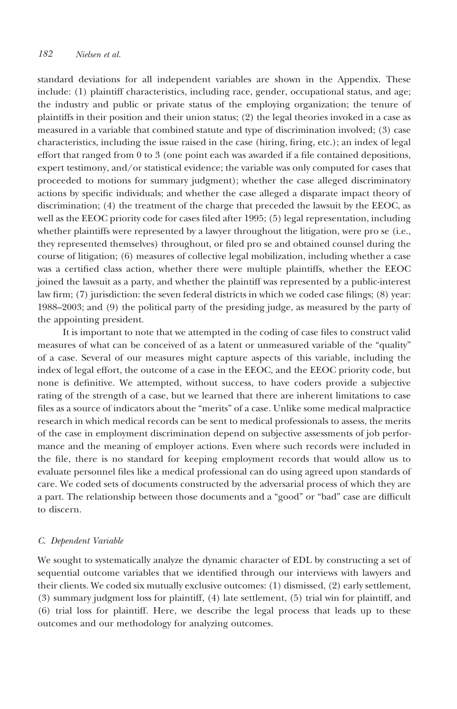standard deviations for all independent variables are shown in the Appendix. These include: (1) plaintiff characteristics, including race, gender, occupational status, and age; the industry and public or private status of the employing organization; the tenure of plaintiffs in their position and their union status; (2) the legal theories invoked in a case as measured in a variable that combined statute and type of discrimination involved; (3) case characteristics, including the issue raised in the case (hiring, firing, etc.); an index of legal effort that ranged from 0 to 3 (one point each was awarded if a file contained depositions, expert testimony, and/or statistical evidence; the variable was only computed for cases that proceeded to motions for summary judgment); whether the case alleged discriminatory actions by specific individuals; and whether the case alleged a disparate impact theory of discrimination; (4) the treatment of the charge that preceded the lawsuit by the EEOC, as well as the EEOC priority code for cases filed after 1995; (5) legal representation, including whether plaintiffs were represented by a lawyer throughout the litigation, were pro se (i.e., they represented themselves) throughout, or filed pro se and obtained counsel during the course of litigation; (6) measures of collective legal mobilization, including whether a case was a certified class action, whether there were multiple plaintiffs, whether the EEOC joined the lawsuit as a party, and whether the plaintiff was represented by a public-interest law firm; (7) jurisdiction: the seven federal districts in which we coded case filings; (8) year: 1988–2003; and (9) the political party of the presiding judge, as measured by the party of the appointing president.

It is important to note that we attempted in the coding of case files to construct valid measures of what can be conceived of as a latent or unmeasured variable of the "quality" of a case. Several of our measures might capture aspects of this variable, including the index of legal effort, the outcome of a case in the EEOC, and the EEOC priority code, but none is definitive. We attempted, without success, to have coders provide a subjective rating of the strength of a case, but we learned that there are inherent limitations to case files as a source of indicators about the "merits" of a case. Unlike some medical malpractice research in which medical records can be sent to medical professionals to assess, the merits of the case in employment discrimination depend on subjective assessments of job performance and the meaning of employer actions. Even where such records were included in the file, there is no standard for keeping employment records that would allow us to evaluate personnel files like a medical professional can do using agreed upon standards of care. We coded sets of documents constructed by the adversarial process of which they are a part. The relationship between those documents and a "good" or "bad" case are difficult to discern.

### *C. Dependent Variable*

We sought to systematically analyze the dynamic character of EDL by constructing a set of sequential outcome variables that we identified through our interviews with lawyers and their clients. We coded six mutually exclusive outcomes: (1) dismissed, (2) early settlement, (3) summary judgment loss for plaintiff, (4) late settlement, (5) trial win for plaintiff, and (6) trial loss for plaintiff. Here, we describe the legal process that leads up to these outcomes and our methodology for analyzing outcomes.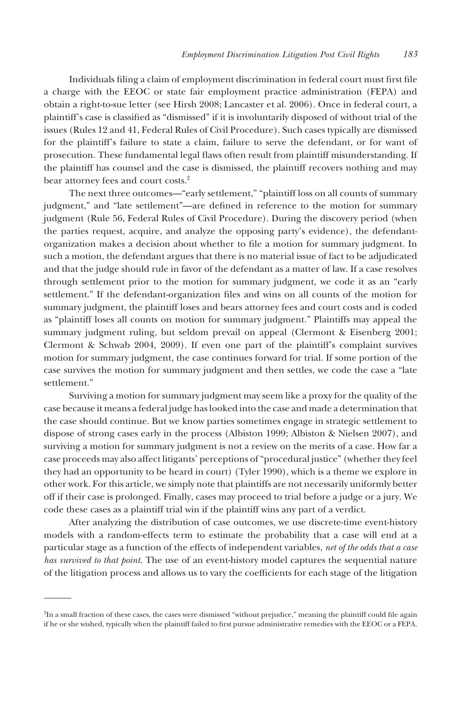Individuals filing a claim of employment discrimination in federal court must first file a charge with the EEOC or state fair employment practice administration (FEPA) and obtain a right-to-sue letter (see Hirsh 2008; Lancaster et al. 2006). Once in federal court, a plaintiff's case is classified as "dismissed" if it is involuntarily disposed of without trial of the issues (Rules 12 and 41, Federal Rules of Civil Procedure). Such cases typically are dismissed for the plaintiff's failure to state a claim, failure to serve the defendant, or for want of prosecution. These fundamental legal flaws often result from plaintiff misunderstanding. If the plaintiff has counsel and the case is dismissed, the plaintiff recovers nothing and may bear attorney fees and court costs.<sup>2</sup>

The next three outcomes—"early settlement," "plaintiff loss on all counts of summary judgment," and "late settlement"—are defined in reference to the motion for summary judgment (Rule 56, Federal Rules of Civil Procedure). During the discovery period (when the parties request, acquire, and analyze the opposing party's evidence), the defendantorganization makes a decision about whether to file a motion for summary judgment. In such a motion, the defendant argues that there is no material issue of fact to be adjudicated and that the judge should rule in favor of the defendant as a matter of law. If a case resolves through settlement prior to the motion for summary judgment, we code it as an "early settlement." If the defendant-organization files and wins on all counts of the motion for summary judgment, the plaintiff loses and bears attorney fees and court costs and is coded as "plaintiff loses all counts on motion for summary judgment." Plaintiffs may appeal the summary judgment ruling, but seldom prevail on appeal (Clermont & Eisenberg 2001; Clermont & Schwab 2004, 2009). If even one part of the plaintiff's complaint survives motion for summary judgment, the case continues forward for trial. If some portion of the case survives the motion for summary judgment and then settles, we code the case a "late settlement."

Surviving a motion for summary judgment may seem like a proxy for the quality of the case because it means a federal judge has looked into the case and made a determination that the case should continue. But we know parties sometimes engage in strategic settlement to dispose of strong cases early in the process (Albiston 1999; Albiston & Nielsen 2007), and surviving a motion for summary judgment is not a review on the merits of a case. How far a case proceeds may also affect litigants' perceptions of "procedural justice" (whether they feel they had an opportunity to be heard in court) (Tyler 1990), which is a theme we explore in other work. For this article, we simply note that plaintiffs are not necessarily uniformly better off if their case is prolonged. Finally, cases may proceed to trial before a judge or a jury. We code these cases as a plaintiff trial win if the plaintiff wins any part of a verdict.

After analyzing the distribution of case outcomes, we use discrete-time event-history models with a random-effects term to estimate the probability that a case will end at a particular stage as a function of the effects of independent variables, *net of the odds that a case has survived to that point*. The use of an event-history model captures the sequential nature of the litigation process and allows us to vary the coefficients for each stage of the litigation

 $^2$ In a small fraction of these cases, the cases were dismissed "without prejudice," meaning the plaintiff could file again if he or she wished, typically when the plaintiff failed to first pursue administrative remedies with the EEOC or a FEPA.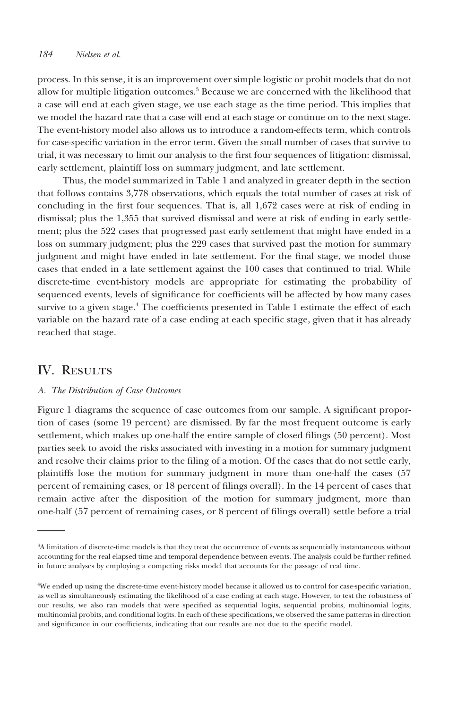### *184 Nielsen et al.*

process. In this sense, it is an improvement over simple logistic or probit models that do not allow for multiple litigation outcomes.<sup>3</sup> Because we are concerned with the likelihood that a case will end at each given stage, we use each stage as the time period. This implies that we model the hazard rate that a case will end at each stage or continue on to the next stage. The event-history model also allows us to introduce a random-effects term, which controls for case-specific variation in the error term. Given the small number of cases that survive to trial, it was necessary to limit our analysis to the first four sequences of litigation: dismissal, early settlement, plaintiff loss on summary judgment, and late settlement.

Thus, the model summarized in Table 1 and analyzed in greater depth in the section that follows contains 3,778 observations, which equals the total number of cases at risk of concluding in the first four sequences. That is, all 1,672 cases were at risk of ending in dismissal; plus the 1,355 that survived dismissal and were at risk of ending in early settlement; plus the 522 cases that progressed past early settlement that might have ended in a loss on summary judgment; plus the 229 cases that survived past the motion for summary judgment and might have ended in late settlement. For the final stage, we model those cases that ended in a late settlement against the 100 cases that continued to trial. While discrete-time event-history models are appropriate for estimating the probability of sequenced events, levels of significance for coefficients will be affected by how many cases survive to a given stage.<sup>4</sup> The coefficients presented in Table 1 estimate the effect of each variable on the hazard rate of a case ending at each specific stage, given that it has already reached that stage.

### IV. RESULTS

### *A. The Distribution of Case Outcomes*

Figure 1 diagrams the sequence of case outcomes from our sample. A significant proportion of cases (some 19 percent) are dismissed. By far the most frequent outcome is early settlement, which makes up one-half the entire sample of closed filings (50 percent). Most parties seek to avoid the risks associated with investing in a motion for summary judgment and resolve their claims prior to the filing of a motion. Of the cases that do not settle early, plaintiffs lose the motion for summary judgment in more than one-half the cases (57 percent of remaining cases, or 18 percent of filings overall). In the 14 percent of cases that remain active after the disposition of the motion for summary judgment, more than one-half (57 percent of remaining cases, or 8 percent of filings overall) settle before a trial

<sup>3</sup> A limitation of discrete-time models is that they treat the occurrence of events as sequentially instantaneous without accounting for the real elapsed time and temporal dependence between events. The analysis could be further refined in future analyses by employing a competing risks model that accounts for the passage of real time.

<sup>4</sup> We ended up using the discrete-time event-history model because it allowed us to control for case-specific variation, as well as simultaneously estimating the likelihood of a case ending at each stage. However, to test the robustness of our results, we also ran models that were specified as sequential logits, sequential probits, multinomial logits, multinomial probits, and conditional logits. In each of these specifications, we observed the same patterns in direction and significance in our coefficients, indicating that our results are not due to the specific model.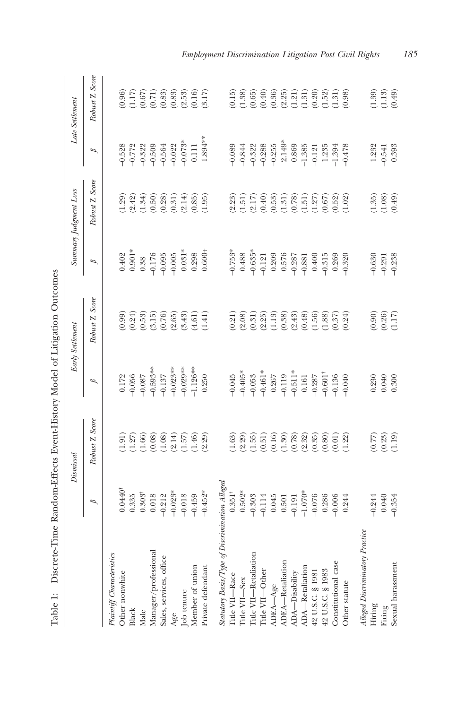| Table 1:                                    |                                                                                                                                                         | Discrete-Time Random-Effects Event-History Model of Litigation Outcomes                                                                                                                                                                                                                              |                                                                                                                                                            |                                                                                                                                                                                                                                                                                                                                    |                                                                                                                   |                                                                                                                                                                                                                                                                                                      |                                                                                                        |                                                                                                                                                                                                   |
|---------------------------------------------|---------------------------------------------------------------------------------------------------------------------------------------------------------|------------------------------------------------------------------------------------------------------------------------------------------------------------------------------------------------------------------------------------------------------------------------------------------------------|------------------------------------------------------------------------------------------------------------------------------------------------------------|------------------------------------------------------------------------------------------------------------------------------------------------------------------------------------------------------------------------------------------------------------------------------------------------------------------------------------|-------------------------------------------------------------------------------------------------------------------|------------------------------------------------------------------------------------------------------------------------------------------------------------------------------------------------------------------------------------------------------------------------------------------------------|--------------------------------------------------------------------------------------------------------|---------------------------------------------------------------------------------------------------------------------------------------------------------------------------------------------------|
|                                             |                                                                                                                                                         | Dismissal                                                                                                                                                                                                                                                                                            |                                                                                                                                                            | Early Settlement                                                                                                                                                                                                                                                                                                                   |                                                                                                                   | Summary Judgment Loss                                                                                                                                                                                                                                                                                |                                                                                                        | Late Settlement                                                                                                                                                                                   |
|                                             | $\mathscr{B}$                                                                                                                                           | Robust Z Score                                                                                                                                                                                                                                                                                       | $\mathscr{G}$                                                                                                                                              | Robust Z Score                                                                                                                                                                                                                                                                                                                     | $\mathscr{B}$                                                                                                     | Robust Z Score                                                                                                                                                                                                                                                                                       | $\mathscr{B}$                                                                                          | Robust Z Score                                                                                                                                                                                    |
| Plaintiff Characteristics                   |                                                                                                                                                         |                                                                                                                                                                                                                                                                                                      |                                                                                                                                                            |                                                                                                                                                                                                                                                                                                                                    |                                                                                                                   |                                                                                                                                                                                                                                                                                                      |                                                                                                        |                                                                                                                                                                                                   |
| Other nonwhite                              |                                                                                                                                                         |                                                                                                                                                                                                                                                                                                      |                                                                                                                                                            |                                                                                                                                                                                                                                                                                                                                    |                                                                                                                   |                                                                                                                                                                                                                                                                                                      |                                                                                                        |                                                                                                                                                                                                   |
| <b>Black</b>                                |                                                                                                                                                         |                                                                                                                                                                                                                                                                                                      |                                                                                                                                                            |                                                                                                                                                                                                                                                                                                                                    |                                                                                                                   |                                                                                                                                                                                                                                                                                                      |                                                                                                        |                                                                                                                                                                                                   |
| Male                                        | $\begin{array}{c} 0.0440^{\dagger}\\ 0.335\\ 0.303^{\dagger} \end{array}$                                                                               |                                                                                                                                                                                                                                                                                                      |                                                                                                                                                            |                                                                                                                                                                                                                                                                                                                                    |                                                                                                                   |                                                                                                                                                                                                                                                                                                      |                                                                                                        |                                                                                                                                                                                                   |
| Manager/professional                        |                                                                                                                                                         |                                                                                                                                                                                                                                                                                                      |                                                                                                                                                            |                                                                                                                                                                                                                                                                                                                                    |                                                                                                                   |                                                                                                                                                                                                                                                                                                      |                                                                                                        |                                                                                                                                                                                                   |
| Sales, services, office                     | $0.018$<br>-0.212<br>-0.023*                                                                                                                            | $\begin{array}{l} (1.91)\\ (1.27)\\ (1.66)\\ (1.60)\\ (1.60)\\ (2.08)\\ (3.09)\\ (4.57)\\ (5.09)\\ (6.01)\\ (7.01)\\ (8.02)\\ (9.01)\\ (1.01)\\ (1.01)\\ (2.01)\\ (3.02)\\ (4.01)\\ (5.01)\\ (6.01)\\ (7.01)\\ (8.01)\\ (9.01)\\ (1.01)\\ (1.01)\\ (1.01)\\ (2.01)\\ (3.01)\\ (4.01)\\ (5.01)\\ (6.$ | $\begin{array}{c} 0.172 \\ -0.056 \\ -0.087 \\ -0.593^{***} \\ -0.137 \\ -0.023^{***} \\ -0.023^{***} \\ -0.029^{***} \\ -1.126^{***} \\ \end{array}$      | $\begin{array}{l} (0.99) \\ (0.24) \\ (0.53) \\ (0.515) \\ (0.76) \\ (0.76) \\ (0.76) \\ (0.43) \\ (0.43) \\ (0.45) \\ (0.45) \\ (0.45) \\ (0.45) \\ (0.45) \\ (0.45) \\ (0.45) \\ (0.45) \\ (0.45) \\ (0.45) \\ (0.45) \\ (0.45) \\ (0.45) \\ (0.45) \\ (0.45) \\ (0.45) \\ (0.45) \\ (0.45) \\ (0.45) \\ (0.45) \\ (0.45) \\ (0$ | $0.402$<br>$0.901*$<br>$0.38$<br>$0.176$<br>$0.095$<br>$-0.005$                                                   |                                                                                                                                                                                                                                                                                                      |                                                                                                        | $\begin{array}{l} (0.96)\\ (1.17)\\ (0.67)\\ (0.71)\\ (0.83)\\ (0.83)\\ (0.85)\\ (0.16)\\ (0.16)\\ (3.17) \end{array}$                                                                            |
| Age                                         |                                                                                                                                                         |                                                                                                                                                                                                                                                                                                      |                                                                                                                                                            |                                                                                                                                                                                                                                                                                                                                    |                                                                                                                   |                                                                                                                                                                                                                                                                                                      |                                                                                                        |                                                                                                                                                                                                   |
| Job tenure                                  | $-0.018$                                                                                                                                                |                                                                                                                                                                                                                                                                                                      |                                                                                                                                                            |                                                                                                                                                                                                                                                                                                                                    | $0.031\,^*$                                                                                                       |                                                                                                                                                                                                                                                                                                      |                                                                                                        |                                                                                                                                                                                                   |
| Member of union                             | $-0.459$                                                                                                                                                |                                                                                                                                                                                                                                                                                                      |                                                                                                                                                            |                                                                                                                                                                                                                                                                                                                                    |                                                                                                                   |                                                                                                                                                                                                                                                                                                      |                                                                                                        |                                                                                                                                                                                                   |
| Private defendant                           | $-0.452*$                                                                                                                                               |                                                                                                                                                                                                                                                                                                      | 0.250                                                                                                                                                      | (1.41)                                                                                                                                                                                                                                                                                                                             | $0.298$<br>$0.600+$                                                                                               | $\begin{array}{l} (1.29)\\ (2.42)\\ (2.50)\\ (1.34)\\ (0.50)\\ (0.31)\\ (0.31)\\ (0.85)\\ (1.95)\\ (1.91)\\ (1.91)\\ (1.92)\\ (1.93)\\ (1.91)\\ (1.92)\\ (1.93)\\ (1.91)\\ (1.92)\\ (1.93)\\ (1.93)\\ (1.94)\\ (1.95)\\ (1.95)\\ (1.97)\\ (1.99)\\ (1.91)\\ (1.91)\\ (1.92)\\ (1.93)\\ (1.93)\\ (1.$ | 2881<br>1772<br>1772<br>19320<br>19320<br>1945<br>1023<br>1023<br>1023<br>1023<br>1023<br>1023<br>1023 |                                                                                                                                                                                                   |
| Statutory Basis/Type of                     | Discrimination Alleged                                                                                                                                  |                                                                                                                                                                                                                                                                                                      |                                                                                                                                                            |                                                                                                                                                                                                                                                                                                                                    |                                                                                                                   |                                                                                                                                                                                                                                                                                                      |                                                                                                        |                                                                                                                                                                                                   |
| Title VII-Race                              |                                                                                                                                                         |                                                                                                                                                                                                                                                                                                      |                                                                                                                                                            |                                                                                                                                                                                                                                                                                                                                    | $-0.753*$<br>$0.488$<br>$-0.635*$<br>$-0.121$                                                                     |                                                                                                                                                                                                                                                                                                      |                                                                                                        |                                                                                                                                                                                                   |
| Title VII-Sex                               |                                                                                                                                                         |                                                                                                                                                                                                                                                                                                      |                                                                                                                                                            |                                                                                                                                                                                                                                                                                                                                    |                                                                                                                   |                                                                                                                                                                                                                                                                                                      |                                                                                                        |                                                                                                                                                                                                   |
| Title VII-Retaliation                       |                                                                                                                                                         |                                                                                                                                                                                                                                                                                                      |                                                                                                                                                            |                                                                                                                                                                                                                                                                                                                                    |                                                                                                                   |                                                                                                                                                                                                                                                                                                      |                                                                                                        |                                                                                                                                                                                                   |
| Title VII-Other                             |                                                                                                                                                         |                                                                                                                                                                                                                                                                                                      |                                                                                                                                                            |                                                                                                                                                                                                                                                                                                                                    |                                                                                                                   |                                                                                                                                                                                                                                                                                                      |                                                                                                        |                                                                                                                                                                                                   |
| $\triangle$ DEA $-\triangle$ ge             |                                                                                                                                                         |                                                                                                                                                                                                                                                                                                      |                                                                                                                                                            |                                                                                                                                                                                                                                                                                                                                    |                                                                                                                   |                                                                                                                                                                                                                                                                                                      |                                                                                                        |                                                                                                                                                                                                   |
| ADEA-Retaliation                            |                                                                                                                                                         |                                                                                                                                                                                                                                                                                                      |                                                                                                                                                            |                                                                                                                                                                                                                                                                                                                                    |                                                                                                                   |                                                                                                                                                                                                                                                                                                      |                                                                                                        |                                                                                                                                                                                                   |
| ADA-Disability                              | $\begin{array}{l} 0.3511 \\ 0.502* \\ 0.502* \\ -0.303 \\ -0.114 \\ 0.6045 \\ -0.191 \\ -0.070* \\ -0.045 \\ -0.070* \\ -0.070* \\ -0.0286 \end{array}$ | $\begin{array}{l} (1.63)\\ (2.29)\\ (2.55)\\ (1.57)\\ (1.61)\\ (1.60)\\ (1.60)\\ (1.60)\\ (1.60)\\ (1.60)\\ (1.60)\\ (0.61)\\ (0.60)\\ (0.80)\\ (0.81)\\ (0.81)\\ (0.82)\\ (0.83)\\ (0.84)\\ (0.85)\\ (0.85)\\ (0.87)\\ (0.89)\\ (0.81)\\ (0.81)\\ (0.82)\\ (0.83)\\ (0.84)\\ (0.85)\\ (0.85)\\ (0.$ | $\begin{array}{r} -0.045 \\ -0.405^* \\ -0.053 \\ -0.61^* \\ 0.267 \\ -0.119 \\ -0.11^* \\ -0.51^* \\ -0.287 \\ -0.287 \\ -0.01^+ \\ -0.001^+ \end{array}$ | $\begin{smallmatrix} 1.210 & 0.210 & 0.210 & 0.210 & 0.210 & 0.210 & 0.210 & 0.210 & 0.210 & 0.210 & 0.210 & 0.210 & 0.210 & 0.210 & 0.210 & 0.210 & 0.210 & 0.210 & 0.210 & 0.210 & 0.210 & 0.210 & 0.210 & 0.210 & 0.210 & 0.210 & 0.210 & 0.210 & 0.210 & 0.210 & 0.2$                                                          | $\begin{array}{r} 0.209 \\ 0.576 \\ -0.381 \\ -0.30 \\ -0.30 \\ -0.30 \\ -0.30 \\ -0.30 \\ -0.320 \\ \end{array}$ | $\begin{array}{l} (2.23)\\ (1.51)\\ (1.40)\\ (1.41)\\ (0.53)\\ (0.51)\\ (0.52)\\ (0.53)\\ (0.54)\\ (0.52)\\ (0.53)\\ (0.52)\\ (0.54)\\ (0.55)\\ (0.52)\\ (0.54)\\ (0.55)\\ (0.54)\\ (0.55)\\ (0.56)\\ (0.57)\\ (0.58)\\ (0.59)\\ (0.59)\\ (0.51)\\ (0.51)\\ (0.52)\\ (0.53)\\ (0.54)\\ (0.54)\\ (0.$ |                                                                                                        | $(0.15)$ $(0.38)$ $(0.6)$ $(0.6)$ $(0.8)$ $(0.8)$ $(0.8)$ $(0.8)$ $(1.7)$ $(0.8)$ $(0.8)$ $(1.7)$ $(0.8)$ $(0.8)$ $(0.8)$ $(0.8)$ $(0.8)$ $(0.8)$ $(0.8)$ $(0.8)$ $(0.8)$ $(0.8)$ $(0.8)$ $(0.8)$ |
| ADA-Retaliation                             |                                                                                                                                                         |                                                                                                                                                                                                                                                                                                      |                                                                                                                                                            |                                                                                                                                                                                                                                                                                                                                    |                                                                                                                   |                                                                                                                                                                                                                                                                                                      |                                                                                                        |                                                                                                                                                                                                   |
| $42$ U.S.C. $\S$ 1981 $42$ U.S.C. $\S$ 1983 |                                                                                                                                                         |                                                                                                                                                                                                                                                                                                      |                                                                                                                                                            |                                                                                                                                                                                                                                                                                                                                    |                                                                                                                   |                                                                                                                                                                                                                                                                                                      |                                                                                                        |                                                                                                                                                                                                   |
|                                             |                                                                                                                                                         |                                                                                                                                                                                                                                                                                                      |                                                                                                                                                            |                                                                                                                                                                                                                                                                                                                                    |                                                                                                                   |                                                                                                                                                                                                                                                                                                      |                                                                                                        |                                                                                                                                                                                                   |
| Constitutional case                         | $-0.006$<br>0.244                                                                                                                                       | $(0.01)$<br>$(1.22)$                                                                                                                                                                                                                                                                                 | $-0.136$                                                                                                                                                   |                                                                                                                                                                                                                                                                                                                                    |                                                                                                                   |                                                                                                                                                                                                                                                                                                      |                                                                                                        |                                                                                                                                                                                                   |
| Other statute                               |                                                                                                                                                         |                                                                                                                                                                                                                                                                                                      | $-0.040$                                                                                                                                                   |                                                                                                                                                                                                                                                                                                                                    |                                                                                                                   |                                                                                                                                                                                                                                                                                                      |                                                                                                        |                                                                                                                                                                                                   |
| Alleged Discriminatory Practice             |                                                                                                                                                         |                                                                                                                                                                                                                                                                                                      |                                                                                                                                                            |                                                                                                                                                                                                                                                                                                                                    |                                                                                                                   |                                                                                                                                                                                                                                                                                                      |                                                                                                        |                                                                                                                                                                                                   |
| Hiring                                      | $-0.244$<br>$-0.040$<br>$-0.354$                                                                                                                        |                                                                                                                                                                                                                                                                                                      | $0.230$<br>$0.040$<br>$0.300$                                                                                                                              |                                                                                                                                                                                                                                                                                                                                    |                                                                                                                   |                                                                                                                                                                                                                                                                                                      |                                                                                                        |                                                                                                                                                                                                   |
| Firing                                      |                                                                                                                                                         | $(0.77)$<br>$(0.23)$<br>$(1.19)$                                                                                                                                                                                                                                                                     |                                                                                                                                                            | $(0.90)$<br>$(0.26)$<br>$(1.17)$                                                                                                                                                                                                                                                                                                   | $-0.630$<br>$-0.291$<br>$-0.238$                                                                                  | $(1.35)$<br>$(1.08)$<br>$(0.49)$                                                                                                                                                                                                                                                                     | $1.232$<br>-0.541<br>0.393                                                                             | $\begin{array}{c} (1.39) \\ (1.13) \\ (0.49) \end{array}$                                                                                                                                         |
| Sexual harassment                           |                                                                                                                                                         |                                                                                                                                                                                                                                                                                                      |                                                                                                                                                            |                                                                                                                                                                                                                                                                                                                                    |                                                                                                                   |                                                                                                                                                                                                                                                                                                      |                                                                                                        |                                                                                                                                                                                                   |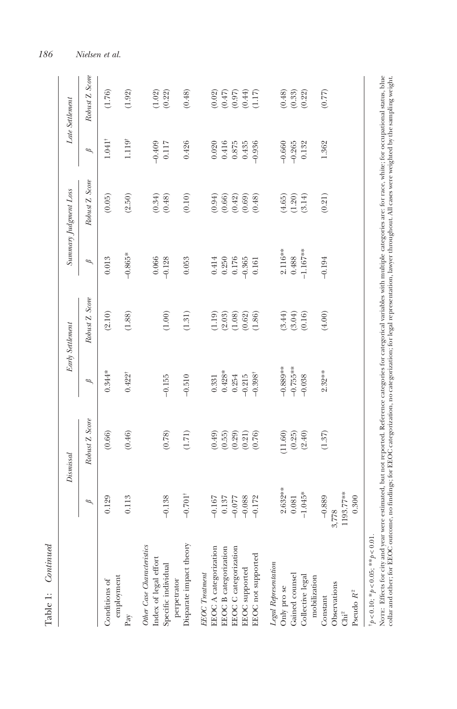| Table 1: Continued                                         |                             |                      |                                          |                      |                                                     |                                  |                      |                                                           |
|------------------------------------------------------------|-----------------------------|----------------------|------------------------------------------|----------------------|-----------------------------------------------------|----------------------------------|----------------------|-----------------------------------------------------------|
|                                                            |                             | Dismissal            |                                          | Early Settlement     |                                                     | Summary Judgment Loss            |                      | Late Settlement                                           |
|                                                            | $\mathscr{C}_{\mathscr{A}}$ | Robust Z Score       | $\mathscr{B}_{\mathscr{A}}$              | Robust Z Score       | $\mathscr{B}$                                       | Robust Z Score                   | $\mathscr{E}$        | Robust Z Score                                            |
| Conditions of                                              | 0.129                       | (0.66)               | $0.344*$                                 | (2.10)               | 0.013                                               | (0.05)                           | $1.041$ <sup>+</sup> | (1.76)                                                    |
| employment<br>$_{\mathrm{Pay}}$                            | 0.113                       | (0.46)               | $0.422^{+}$                              | (1.88)               | $-0.865*$                                           | (2.50)                           | 1.119 <sup>†</sup>   | (1.92)                                                    |
| <b>Other Case Characteristics</b><br>Index of legal effort |                             |                      |                                          |                      | 0.066                                               | $\left( 0.34\right)$             | $-0.409$             | $(1.02)$<br>$(0.22)$                                      |
| Specific individual                                        | $-0.138$                    | (0.78)               | $-0.155$                                 | (1.00)               | $-0.128$                                            | $(0.48)$                         | $0.117\,$            |                                                           |
| perpetrator<br>Disparate impact theory                     | $-0.701$ <sup>+</sup>       | (1.71)               | $-0.510$                                 | (1.31)               | 0.053                                               | (0.10)                           | 0.426                | (0.48)                                                    |
| $E\!O\!C$ Treatment                                        |                             |                      |                                          |                      |                                                     |                                  |                      |                                                           |
| EEOC A categorization                                      | $-0.167$                    | $(0.49)$<br>$(0.55)$ | 0.331                                    | $(1.19)$<br>$(2.03)$ |                                                     | $(0.94)$<br>$(0.66)$             | 0.020                | $(0.02)$<br>$(0.47)$                                      |
| EEOC B categorization                                      | 0.137                       |                      | $0.428\,^*$                              |                      | $0.414$<br>$0.250$<br>$0.176$<br>$0.161$<br>$0.161$ |                                  | 0.416                |                                                           |
| EEOC C categorization                                      | $-0.077$                    | (0.29)               |                                          | (1.08)               |                                                     |                                  | $0.875\,$            |                                                           |
|                                                            | $-0.088$                    | $(0.21)$<br>$(0.76)$ | $0.254$<br>-0.215<br>-0.398 <sup>+</sup> | $(0.62)$<br>(1.86)   |                                                     | $(0.42)$<br>$(0.69)$             | 0.435                | $\begin{array}{c} (0.97) \\ (0.44) \\ (1.17) \end{array}$ |
| EEOC supported<br>EEOC not supported                       | $-0.172$                    |                      |                                          |                      |                                                     | (0.48)                           | $-0.936$             |                                                           |
|                                                            |                             |                      |                                          |                      |                                                     |                                  |                      |                                                           |
| Legal Representation<br>Only pro se<br>Gained counsel      | $2.632**$                   | (11.60)              | $-0.889**$                               |                      | $2.116**$<br>0.488                                  |                                  |                      |                                                           |
|                                                            | 0.081                       | $(0.25)$<br>$(2.40)$ | $-0.755**$                               | $(3.44)$<br>$(3.04)$ |                                                     | $(4.65)$<br>$(1.20)$<br>$(3.14)$ | $-0.660$<br>$-0.265$ | $\begin{array}{c} (0.48) \\ (0.33) \\ (0.22) \end{array}$ |
| Collective legal                                           | $-1.045*$                   |                      | $-0.038$                                 | (0.16)               | $-1.167**$                                          |                                  | 0.132                |                                                           |
| mobilization                                               |                             |                      |                                          |                      |                                                     |                                  |                      |                                                           |
| Constant                                                   | $-0.889$                    | (1.37)               | $2.32***$                                | $(4.00)$             | $-0.194$                                            | (0.21)                           | 1.362                | (0.77)                                                    |
| Observations                                               | 3,778                       |                      |                                          |                      |                                                     |                                  |                      |                                                           |
| $\mathrm{Chi}^2$                                           | 1193.77**                   |                      |                                          |                      |                                                     |                                  |                      |                                                           |
| Pseudo $\mathbb{R}^2$                                      | $0.300\,$                   |                      |                                          |                      |                                                     |                                  |                      |                                                           |

 $p < 0.10$ ; \* $p < 0.05$ ; \*\* $p < 0.01$ . †*p* < 0.10; \**p* < 0.05; \*\**p* < 0.01.

Norr.: Effects for city and year were estimated, but not reported. Reference categories for categorical variables with multiple categories are: for race, white; for occupational status, blue<br>collar and other; for EEOC outc Note: Effects for city and year were estimated, but not reported. Reference categories for categorical variables with multiple categories are: for race, white; for occupational status, blue collar and other; for EEOC outcome, no findings; for EEOC categorization, no categorization; for legal representation, lawyer throughout. All cases were weighted by the sampling weight.

### *186 Nielsen et al.*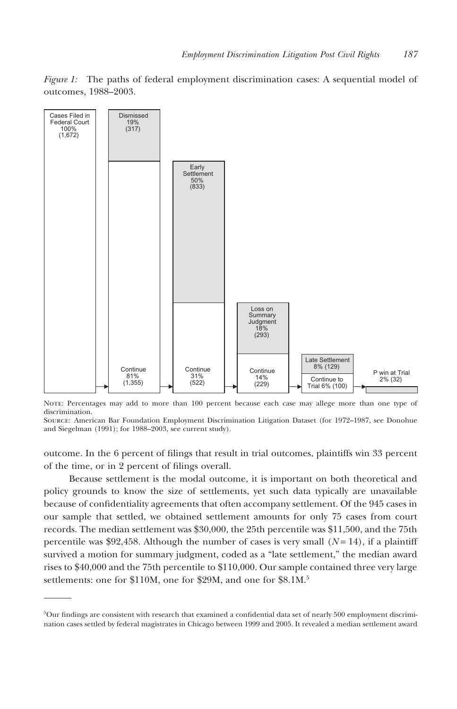*Figure 1:* The paths of federal employment discrimination cases: A sequential model of outcomes, 1988–2003.



NOTE: Percentages may add to more than 100 percent because each case may allege more than one type of discrimination.

Source: American Bar Foundation Employment Discrimination Litigation Dataset (for 1972–1987, see Donohue and Siegelman (1991); for 1988–2003, see current study).

outcome. In the 6 percent of filings that result in trial outcomes, plaintiffs win 33 percent of the time, or in 2 percent of filings overall.

Because settlement is the modal outcome, it is important on both theoretical and policy grounds to know the size of settlements, yet such data typically are unavailable because of confidentiality agreements that often accompany settlement. Of the 945 cases in our sample that settled, we obtained settlement amounts for only 75 cases from court records. The median settlement was \$30,000, the 25th percentile was \$11,500, and the 75th percentile was \$92,458. Although the number of cases is very small  $(N = 14)$ , if a plaintiff survived a motion for summary judgment, coded as a "late settlement," the median award rises to \$40,000 and the 75th percentile to \$110,000. Our sample contained three very large settlements: one for \$110M, one for \$29M, and one for \$8.1M.<sup>5</sup>

<sup>5</sup> Our findings are consistent with research that examined a confidential data set of nearly 500 employment discrimination cases settled by federal magistrates in Chicago between 1999 and 2005. It revealed a median settlement award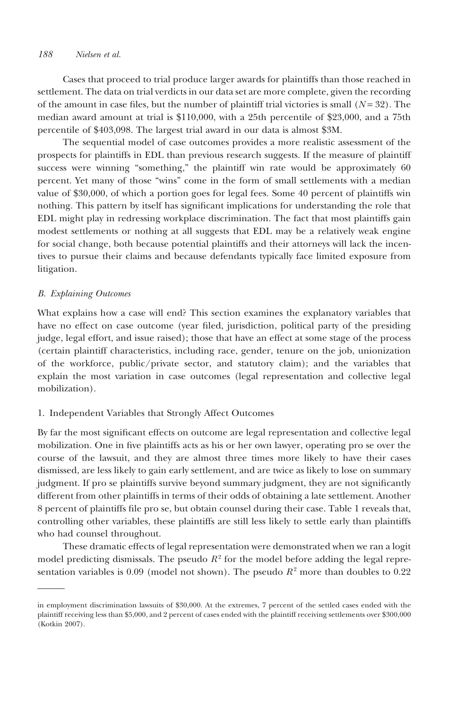### *188 Nielsen et al.*

Cases that proceed to trial produce larger awards for plaintiffs than those reached in settlement. The data on trial verdicts in our data set are more complete, given the recording of the amount in case files, but the number of plaintiff trial victories is small  $(N = 32)$ . The median award amount at trial is \$110,000, with a 25th percentile of \$23,000, and a 75th percentile of \$403,098. The largest trial award in our data is almost \$3M.

The sequential model of case outcomes provides a more realistic assessment of the prospects for plaintiffs in EDL than previous research suggests. If the measure of plaintiff success were winning "something," the plaintiff win rate would be approximately 60 percent. Yet many of those "wins" come in the form of small settlements with a median value of \$30,000, of which a portion goes for legal fees. Some 40 percent of plaintiffs win nothing. This pattern by itself has significant implications for understanding the role that EDL might play in redressing workplace discrimination. The fact that most plaintiffs gain modest settlements or nothing at all suggests that EDL may be a relatively weak engine for social change, both because potential plaintiffs and their attorneys will lack the incentives to pursue their claims and because defendants typically face limited exposure from litigation.

### *B. Explaining Outcomes*

What explains how a case will end? This section examines the explanatory variables that have no effect on case outcome (year filed, jurisdiction, political party of the presiding judge, legal effort, and issue raised); those that have an effect at some stage of the process (certain plaintiff characteristics, including race, gender, tenure on the job, unionization of the workforce, public/private sector, and statutory claim); and the variables that explain the most variation in case outcomes (legal representation and collective legal mobilization).

### 1. Independent Variables that Strongly Affect Outcomes

By far the most significant effects on outcome are legal representation and collective legal mobilization. One in five plaintiffs acts as his or her own lawyer, operating pro se over the course of the lawsuit, and they are almost three times more likely to have their cases dismissed, are less likely to gain early settlement, and are twice as likely to lose on summary judgment. If pro se plaintiffs survive beyond summary judgment, they are not significantly different from other plaintiffs in terms of their odds of obtaining a late settlement. Another 8 percent of plaintiffs file pro se, but obtain counsel during their case. Table 1 reveals that, controlling other variables, these plaintiffs are still less likely to settle early than plaintiffs who had counsel throughout.

These dramatic effects of legal representation were demonstrated when we ran a logit model predicting dismissals. The pseudo  $R<sup>2</sup>$  for the model before adding the legal representation variables is  $0.09$  (model not shown). The pseudo  $R<sup>2</sup>$  more than doubles to  $0.22$ 

in employment discrimination lawsuits of \$30,000. At the extremes, 7 percent of the settled cases ended with the plaintiff receiving less than \$5,000, and 2 percent of cases ended with the plaintiff receiving settlements over \$300,000 (Kotkin 2007).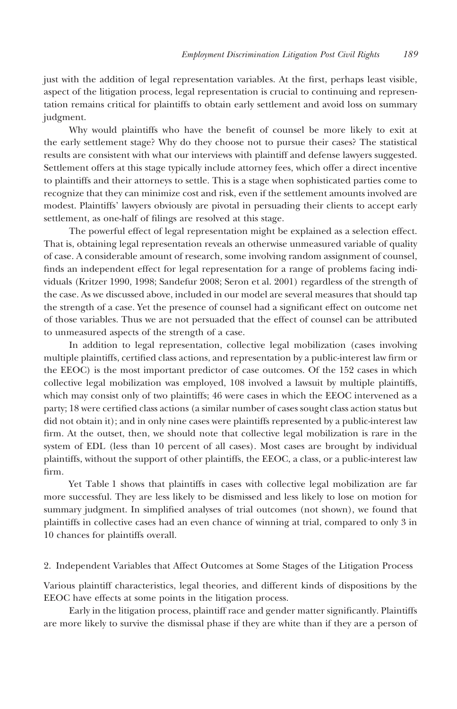just with the addition of legal representation variables. At the first, perhaps least visible, aspect of the litigation process, legal representation is crucial to continuing and representation remains critical for plaintiffs to obtain early settlement and avoid loss on summary judgment.

Why would plaintiffs who have the benefit of counsel be more likely to exit at the early settlement stage? Why do they choose not to pursue their cases? The statistical results are consistent with what our interviews with plaintiff and defense lawyers suggested. Settlement offers at this stage typically include attorney fees, which offer a direct incentive to plaintiffs and their attorneys to settle. This is a stage when sophisticated parties come to recognize that they can minimize cost and risk, even if the settlement amounts involved are modest. Plaintiffs' lawyers obviously are pivotal in persuading their clients to accept early settlement, as one-half of filings are resolved at this stage.

The powerful effect of legal representation might be explained as a selection effect. That is, obtaining legal representation reveals an otherwise unmeasured variable of quality of case. A considerable amount of research, some involving random assignment of counsel, finds an independent effect for legal representation for a range of problems facing individuals (Kritzer 1990, 1998; Sandefur 2008; Seron et al. 2001) regardless of the strength of the case. As we discussed above, included in our model are several measures that should tap the strength of a case. Yet the presence of counsel had a significant effect on outcome net of those variables. Thus we are not persuaded that the effect of counsel can be attributed to unmeasured aspects of the strength of a case.

In addition to legal representation, collective legal mobilization (cases involving multiple plaintiffs, certified class actions, and representation by a public-interest law firm or the EEOC) is the most important predictor of case outcomes. Of the 152 cases in which collective legal mobilization was employed, 108 involved a lawsuit by multiple plaintiffs, which may consist only of two plaintiffs; 46 were cases in which the EEOC intervened as a party; 18 were certified class actions (a similar number of cases sought class action status but did not obtain it); and in only nine cases were plaintiffs represented by a public-interest law firm. At the outset, then, we should note that collective legal mobilization is rare in the system of EDL (less than 10 percent of all cases). Most cases are brought by individual plaintiffs, without the support of other plaintiffs, the EEOC, a class, or a public-interest law firm.

Yet Table 1 shows that plaintiffs in cases with collective legal mobilization are far more successful. They are less likely to be dismissed and less likely to lose on motion for summary judgment. In simplified analyses of trial outcomes (not shown), we found that plaintiffs in collective cases had an even chance of winning at trial, compared to only 3 in 10 chances for plaintiffs overall.

#### 2. Independent Variables that Affect Outcomes at Some Stages of the Litigation Process

Various plaintiff characteristics, legal theories, and different kinds of dispositions by the EEOC have effects at some points in the litigation process.

Early in the litigation process, plaintiff race and gender matter significantly. Plaintiffs are more likely to survive the dismissal phase if they are white than if they are a person of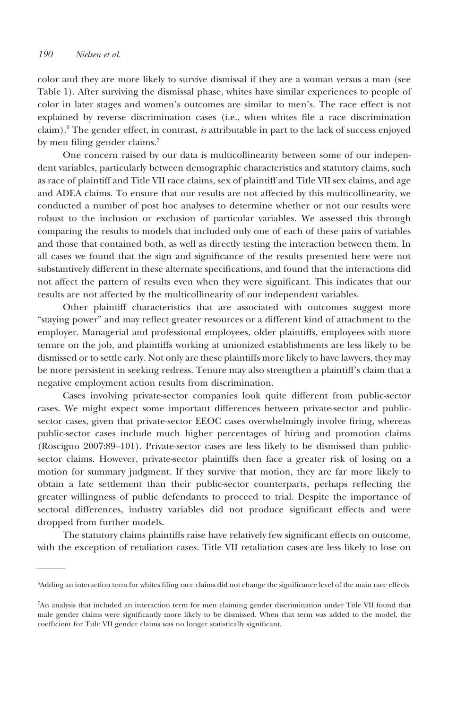color and they are more likely to survive dismissal if they are a woman versus a man (see Table 1). After surviving the dismissal phase, whites have similar experiences to people of color in later stages and women's outcomes are similar to men's. The race effect is not explained by reverse discrimination cases (i.e., when whites file a race discrimination claim).6 The gender effect, in contrast, *is* attributable in part to the lack of success enjoyed by men filing gender claims.7

One concern raised by our data is multicollinearity between some of our independent variables, particularly between demographic characteristics and statutory claims, such as race of plaintiff and Title VII race claims, sex of plaintiff and Title VII sex claims, and age and ADEA claims. To ensure that our results are not affected by this multicollinearity, we conducted a number of post hoc analyses to determine whether or not our results were robust to the inclusion or exclusion of particular variables. We assessed this through comparing the results to models that included only one of each of these pairs of variables and those that contained both, as well as directly testing the interaction between them. In all cases we found that the sign and significance of the results presented here were not substantively different in these alternate specifications, and found that the interactions did not affect the pattern of results even when they were significant. This indicates that our results are not affected by the multicollinearity of our independent variables.

Other plaintiff characteristics that are associated with outcomes suggest more "staying power" and may reflect greater resources or a different kind of attachment to the employer. Managerial and professional employees, older plaintiffs, employees with more tenure on the job, and plaintiffs working at unionized establishments are less likely to be dismissed or to settle early. Not only are these plaintiffs more likely to have lawyers, they may be more persistent in seeking redress. Tenure may also strengthen a plaintiff's claim that a negative employment action results from discrimination.

Cases involving private-sector companies look quite different from public-sector cases. We might expect some important differences between private-sector and publicsector cases, given that private-sector EEOC cases overwhelmingly involve firing, whereas public-sector cases include much higher percentages of hiring and promotion claims (Roscigno 2007:89–101). Private-sector cases are less likely to be dismissed than publicsector claims. However, private-sector plaintiffs then face a greater risk of losing on a motion for summary judgment. If they survive that motion, they are far more likely to obtain a late settlement than their public-sector counterparts, perhaps reflecting the greater willingness of public defendants to proceed to trial. Despite the importance of sectoral differences, industry variables did not produce significant effects and were dropped from further models.

The statutory claims plaintiffs raise have relatively few significant effects on outcome, with the exception of retaliation cases. Title VII retaliation cases are less likely to lose on

<sup>6</sup> Adding an interaction term for whites filing race claims did not change the significance level of the main race effects.

<sup>7</sup> An analysis that included an interaction term for men claiming gender discrimination under Title VII found that male gender claims were significantly more likely to be dismissed. When that term was added to the model, the coefficient for Title VII gender claims was no longer statistically significant.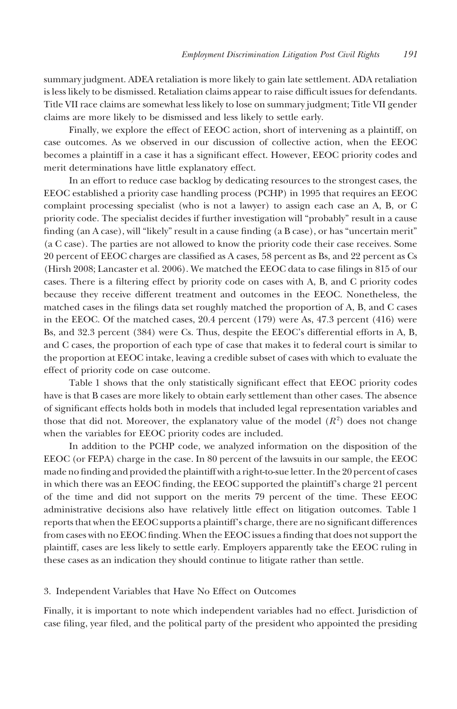summary judgment. ADEA retaliation is more likely to gain late settlement. ADA retaliation is less likely to be dismissed. Retaliation claims appear to raise difficult issues for defendants. Title VII race claims are somewhat less likely to lose on summary judgment; Title VII gender claims are more likely to be dismissed and less likely to settle early.

Finally, we explore the effect of EEOC action, short of intervening as a plaintiff, on case outcomes. As we observed in our discussion of collective action, when the EEOC becomes a plaintiff in a case it has a significant effect. However, EEOC priority codes and merit determinations have little explanatory effect.

In an effort to reduce case backlog by dedicating resources to the strongest cases, the EEOC established a priority case handling process (PCHP) in 1995 that requires an EEOC complaint processing specialist (who is not a lawyer) to assign each case an A, B, or C priority code. The specialist decides if further investigation will "probably" result in a cause finding (an A case), will "likely" result in a cause finding (a B case), or has "uncertain merit" (a C case). The parties are not allowed to know the priority code their case receives. Some 20 percent of EEOC charges are classified as A cases, 58 percent as Bs, and 22 percent as Cs (Hirsh 2008; Lancaster et al. 2006). We matched the EEOC data to case filings in 815 of our cases. There is a filtering effect by priority code on cases with A, B, and C priority codes because they receive different treatment and outcomes in the EEOC. Nonetheless, the matched cases in the filings data set roughly matched the proportion of A, B, and C cases in the EEOC. Of the matched cases, 20.4 percent (179) were As, 47.3 percent (416) were Bs, and 32.3 percent (384) were Cs. Thus, despite the EEOC's differential efforts in A, B, and C cases, the proportion of each type of case that makes it to federal court is similar to the proportion at EEOC intake, leaving a credible subset of cases with which to evaluate the effect of priority code on case outcome.

Table 1 shows that the only statistically significant effect that EEOC priority codes have is that B cases are more likely to obtain early settlement than other cases. The absence of significant effects holds both in models that included legal representation variables and those that did not. Moreover, the explanatory value of the model  $(R^2)$  does not change when the variables for EEOC priority codes are included.

In addition to the PCHP code, we analyzed information on the disposition of the EEOC (or FEPA) charge in the case. In 80 percent of the lawsuits in our sample, the EEOC made no finding and provided the plaintiff with a right-to-sue letter. In the 20 percent of cases in which there was an EEOC finding, the EEOC supported the plaintiff's charge 21 percent of the time and did not support on the merits 79 percent of the time. These EEOC administrative decisions also have relatively little effect on litigation outcomes. Table 1 reports that when the EEOC supports a plaintiff's charge, there are no significant differences from cases with no EEOC finding. When the EEOC issues a finding that does not support the plaintiff, cases are less likely to settle early. Employers apparently take the EEOC ruling in these cases as an indication they should continue to litigate rather than settle.

#### 3. Independent Variables that Have No Effect on Outcomes

Finally, it is important to note which independent variables had no effect. Jurisdiction of case filing, year filed, and the political party of the president who appointed the presiding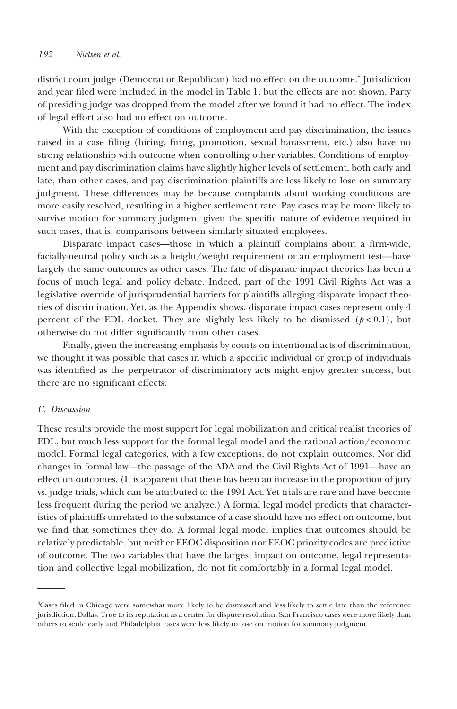district court judge (Democrat or Republican) had no effect on the outcome.<sup>8</sup> Jurisdiction and year filed were included in the model in Table 1, but the effects are not shown. Party of presiding judge was dropped from the model after we found it had no effect. The index of legal effort also had no effect on outcome.

With the exception of conditions of employment and pay discrimination, the issues raised in a case filing (hiring, firing, promotion, sexual harassment, etc.) also have no strong relationship with outcome when controlling other variables. Conditions of employment and pay discrimination claims have slightly higher levels of settlement, both early and late, than other cases, and pay discrimination plaintiffs are less likely to lose on summary judgment. These differences may be because complaints about working conditions are more easily resolved, resulting in a higher settlement rate. Pay cases may be more likely to survive motion for summary judgment given the specific nature of evidence required in such cases, that is, comparisons between similarly situated employees.

Disparate impact cases—those in which a plaintiff complains about a firm-wide, facially-neutral policy such as a height/weight requirement or an employment test—have largely the same outcomes as other cases. The fate of disparate impact theories has been a focus of much legal and policy debate. Indeed, part of the 1991 Civil Rights Act was a legislative override of jurisprudential barriers for plaintiffs alleging disparate impact theories of discrimination. Yet, as the Appendix shows, disparate impact cases represent only 4 percent of the EDL docket. They are slightly less likely to be dismissed  $(p < 0.1)$ , but otherwise do not differ significantly from other cases.

Finally, given the increasing emphasis by courts on intentional acts of discrimination, we thought it was possible that cases in which a specific individual or group of individuals was identified as the perpetrator of discriminatory acts might enjoy greater success, but there are no significant effects.

### *C. Discussion*

These results provide the most support for legal mobilization and critical realist theories of EDL, but much less support for the formal legal model and the rational action/economic model. Formal legal categories, with a few exceptions, do not explain outcomes. Nor did changes in formal law—the passage of the ADA and the Civil Rights Act of 1991—have an effect on outcomes. (It is apparent that there has been an increase in the proportion of jury vs. judge trials, which can be attributed to the 1991 Act. Yet trials are rare and have become less frequent during the period we analyze.) A formal legal model predicts that characteristics of plaintiffs unrelated to the substance of a case should have no effect on outcome, but we find that sometimes they do. A formal legal model implies that outcomes should be relatively predictable, but neither EEOC disposition nor EEOC priority codes are predictive of outcome. The two variables that have the largest impact on outcome, legal representation and collective legal mobilization, do not fit comfortably in a formal legal model.

<sup>8</sup> Cases filed in Chicago were somewhat more likely to be dismissed and less likely to settle late than the reference jurisdiction, Dallas. True to its reputation as a center for dispute resolution, San Francisco cases were more likely than others to settle early and Philadelphia cases were less likely to lose on motion for summary judgment.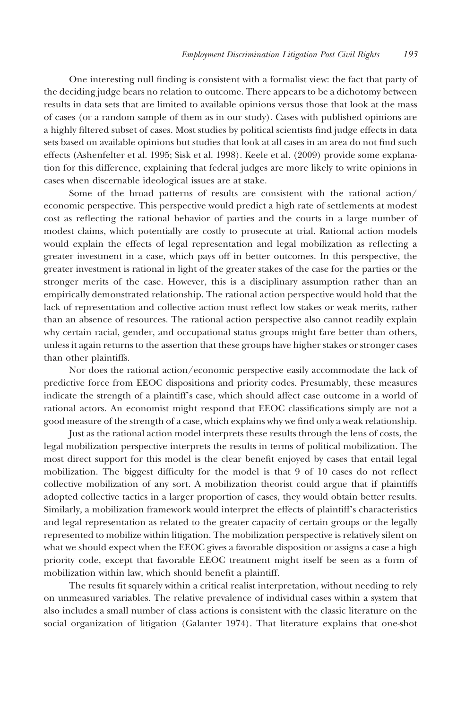One interesting null finding is consistent with a formalist view: the fact that party of the deciding judge bears no relation to outcome. There appears to be a dichotomy between results in data sets that are limited to available opinions versus those that look at the mass of cases (or a random sample of them as in our study). Cases with published opinions are a highly filtered subset of cases. Most studies by political scientists find judge effects in data sets based on available opinions but studies that look at all cases in an area do not find such effects (Ashenfelter et al. 1995; Sisk et al. 1998). Keele et al. (2009) provide some explanation for this difference, explaining that federal judges are more likely to write opinions in cases when discernable ideological issues are at stake.

Some of the broad patterns of results are consistent with the rational action/ economic perspective. This perspective would predict a high rate of settlements at modest cost as reflecting the rational behavior of parties and the courts in a large number of modest claims, which potentially are costly to prosecute at trial. Rational action models would explain the effects of legal representation and legal mobilization as reflecting a greater investment in a case, which pays off in better outcomes. In this perspective, the greater investment is rational in light of the greater stakes of the case for the parties or the stronger merits of the case. However, this is a disciplinary assumption rather than an empirically demonstrated relationship. The rational action perspective would hold that the lack of representation and collective action must reflect low stakes or weak merits, rather than an absence of resources. The rational action perspective also cannot readily explain why certain racial, gender, and occupational status groups might fare better than others, unless it again returns to the assertion that these groups have higher stakes or stronger cases than other plaintiffs.

Nor does the rational action/economic perspective easily accommodate the lack of predictive force from EEOC dispositions and priority codes. Presumably, these measures indicate the strength of a plaintiff's case, which should affect case outcome in a world of rational actors. An economist might respond that EEOC classifications simply are not a good measure of the strength of a case, which explains why we find only a weak relationship.

Just as the rational action model interprets these results through the lens of costs, the legal mobilization perspective interprets the results in terms of political mobilization. The most direct support for this model is the clear benefit enjoyed by cases that entail legal mobilization. The biggest difficulty for the model is that 9 of 10 cases do not reflect collective mobilization of any sort. A mobilization theorist could argue that if plaintiffs adopted collective tactics in a larger proportion of cases, they would obtain better results. Similarly, a mobilization framework would interpret the effects of plaintiff's characteristics and legal representation as related to the greater capacity of certain groups or the legally represented to mobilize within litigation. The mobilization perspective is relatively silent on what we should expect when the EEOC gives a favorable disposition or assigns a case a high priority code, except that favorable EEOC treatment might itself be seen as a form of mobilization within law, which should benefit a plaintiff.

The results fit squarely within a critical realist interpretation, without needing to rely on unmeasured variables. The relative prevalence of individual cases within a system that also includes a small number of class actions is consistent with the classic literature on the social organization of litigation (Galanter 1974). That literature explains that one-shot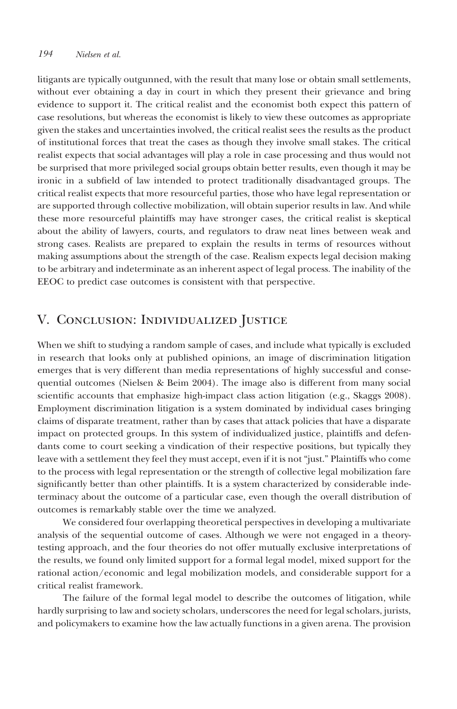litigants are typically outgunned, with the result that many lose or obtain small settlements, without ever obtaining a day in court in which they present their grievance and bring evidence to support it. The critical realist and the economist both expect this pattern of case resolutions, but whereas the economist is likely to view these outcomes as appropriate given the stakes and uncertainties involved, the critical realist sees the results as the product of institutional forces that treat the cases as though they involve small stakes. The critical realist expects that social advantages will play a role in case processing and thus would not be surprised that more privileged social groups obtain better results, even though it may be ironic in a subfield of law intended to protect traditionally disadvantaged groups. The critical realist expects that more resourceful parties, those who have legal representation or are supported through collective mobilization, will obtain superior results in law. And while these more resourceful plaintiffs may have stronger cases, the critical realist is skeptical about the ability of lawyers, courts, and regulators to draw neat lines between weak and strong cases. Realists are prepared to explain the results in terms of resources without making assumptions about the strength of the case. Realism expects legal decision making to be arbitrary and indeterminate as an inherent aspect of legal process. The inability of the EEOC to predict case outcomes is consistent with that perspective.

## V. Conclusion: Individualized Justice

When we shift to studying a random sample of cases, and include what typically is excluded in research that looks only at published opinions, an image of discrimination litigation emerges that is very different than media representations of highly successful and consequential outcomes (Nielsen & Beim 2004). The image also is different from many social scientific accounts that emphasize high-impact class action litigation (e.g., Skaggs 2008). Employment discrimination litigation is a system dominated by individual cases bringing claims of disparate treatment, rather than by cases that attack policies that have a disparate impact on protected groups. In this system of individualized justice, plaintiffs and defendants come to court seeking a vindication of their respective positions, but typically they leave with a settlement they feel they must accept, even if it is not "just." Plaintiffs who come to the process with legal representation or the strength of collective legal mobilization fare significantly better than other plaintiffs. It is a system characterized by considerable indeterminacy about the outcome of a particular case, even though the overall distribution of outcomes is remarkably stable over the time we analyzed.

We considered four overlapping theoretical perspectives in developing a multivariate analysis of the sequential outcome of cases. Although we were not engaged in a theorytesting approach, and the four theories do not offer mutually exclusive interpretations of the results, we found only limited support for a formal legal model, mixed support for the rational action/economic and legal mobilization models, and considerable support for a critical realist framework.

The failure of the formal legal model to describe the outcomes of litigation, while hardly surprising to law and society scholars, underscores the need for legal scholars, jurists, and policymakers to examine how the law actually functions in a given arena. The provision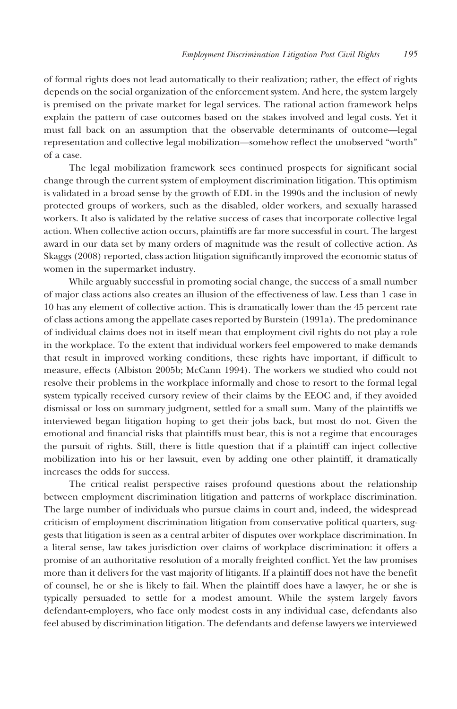of formal rights does not lead automatically to their realization; rather, the effect of rights depends on the social organization of the enforcement system. And here, the system largely is premised on the private market for legal services. The rational action framework helps explain the pattern of case outcomes based on the stakes involved and legal costs. Yet it must fall back on an assumption that the observable determinants of outcome—legal representation and collective legal mobilization—somehow reflect the unobserved "worth" of a case.

The legal mobilization framework sees continued prospects for significant social change through the current system of employment discrimination litigation. This optimism is validated in a broad sense by the growth of EDL in the 1990s and the inclusion of newly protected groups of workers, such as the disabled, older workers, and sexually harassed workers. It also is validated by the relative success of cases that incorporate collective legal action. When collective action occurs, plaintiffs are far more successful in court. The largest award in our data set by many orders of magnitude was the result of collective action. As Skaggs (2008) reported, class action litigation significantly improved the economic status of women in the supermarket industry.

While arguably successful in promoting social change, the success of a small number of major class actions also creates an illusion of the effectiveness of law. Less than 1 case in 10 has any element of collective action. This is dramatically lower than the 45 percent rate of class actions among the appellate cases reported by Burstein (1991a). The predominance of individual claims does not in itself mean that employment civil rights do not play a role in the workplace. To the extent that individual workers feel empowered to make demands that result in improved working conditions, these rights have important, if difficult to measure, effects (Albiston 2005b; McCann 1994). The workers we studied who could not resolve their problems in the workplace informally and chose to resort to the formal legal system typically received cursory review of their claims by the EEOC and, if they avoided dismissal or loss on summary judgment, settled for a small sum. Many of the plaintiffs we interviewed began litigation hoping to get their jobs back, but most do not. Given the emotional and financial risks that plaintiffs must bear, this is not a regime that encourages the pursuit of rights. Still, there is little question that if a plaintiff can inject collective mobilization into his or her lawsuit, even by adding one other plaintiff, it dramatically increases the odds for success.

The critical realist perspective raises profound questions about the relationship between employment discrimination litigation and patterns of workplace discrimination. The large number of individuals who pursue claims in court and, indeed, the widespread criticism of employment discrimination litigation from conservative political quarters, suggests that litigation is seen as a central arbiter of disputes over workplace discrimination. In a literal sense, law takes jurisdiction over claims of workplace discrimination: it offers a promise of an authoritative resolution of a morally freighted conflict. Yet the law promises more than it delivers for the vast majority of litigants. If a plaintiff does not have the benefit of counsel, he or she is likely to fail. When the plaintiff does have a lawyer, he or she is typically persuaded to settle for a modest amount. While the system largely favors defendant-employers, who face only modest costs in any individual case, defendants also feel abused by discrimination litigation. The defendants and defense lawyers we interviewed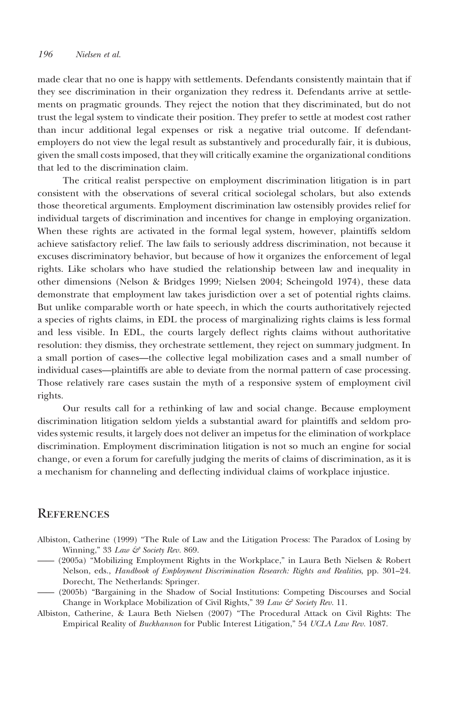made clear that no one is happy with settlements. Defendants consistently maintain that if they see discrimination in their organization they redress it. Defendants arrive at settlements on pragmatic grounds. They reject the notion that they discriminated, but do not trust the legal system to vindicate their position. They prefer to settle at modest cost rather than incur additional legal expenses or risk a negative trial outcome. If defendantemployers do not view the legal result as substantively and procedurally fair, it is dubious, given the small costs imposed, that they will critically examine the organizational conditions that led to the discrimination claim.

The critical realist perspective on employment discrimination litigation is in part consistent with the observations of several critical sociolegal scholars, but also extends those theoretical arguments. Employment discrimination law ostensibly provides relief for individual targets of discrimination and incentives for change in employing organization. When these rights are activated in the formal legal system, however, plaintiffs seldom achieve satisfactory relief. The law fails to seriously address discrimination, not because it excuses discriminatory behavior, but because of how it organizes the enforcement of legal rights. Like scholars who have studied the relationship between law and inequality in other dimensions (Nelson & Bridges 1999; Nielsen 2004; Scheingold 1974), these data demonstrate that employment law takes jurisdiction over a set of potential rights claims. But unlike comparable worth or hate speech, in which the courts authoritatively rejected a species of rights claims, in EDL the process of marginalizing rights claims is less formal and less visible. In EDL, the courts largely deflect rights claims without authoritative resolution: they dismiss, they orchestrate settlement, they reject on summary judgment. In a small portion of cases—the collective legal mobilization cases and a small number of individual cases—plaintiffs are able to deviate from the normal pattern of case processing. Those relatively rare cases sustain the myth of a responsive system of employment civil rights.

Our results call for a rethinking of law and social change. Because employment discrimination litigation seldom yields a substantial award for plaintiffs and seldom provides systemic results, it largely does not deliver an impetus for the elimination of workplace discrimination. Employment discrimination litigation is not so much an engine for social change, or even a forum for carefully judging the merits of claims of discrimination, as it is a mechanism for channeling and deflecting individual claims of workplace injustice.

### **REFERENCES**

- Albiston, Catherine (1999) "The Rule of Law and the Litigation Process: The Paradox of Losing by Winning," 33 *Law & Society Rev.* 869.
- —— (2005a) "Mobilizing Employment Rights in the Workplace," in Laura Beth Nielsen & Robert Nelson, eds., *Handbook of Employment Discrimination Research: Rights and Realities*, pp. 301–24. Dorecht, The Netherlands: Springer.
- —— (2005b) "Bargaining in the Shadow of Social Institutions: Competing Discourses and Social Change in Workplace Mobilization of Civil Rights," 39 *Law & Society Rev.* 11.
- Albiston, Catherine, & Laura Beth Nielsen (2007) "The Procedural Attack on Civil Rights: The Empirical Reality of *Buckhannon* for Public Interest Litigation," 54 *UCLA Law Rev.* 1087.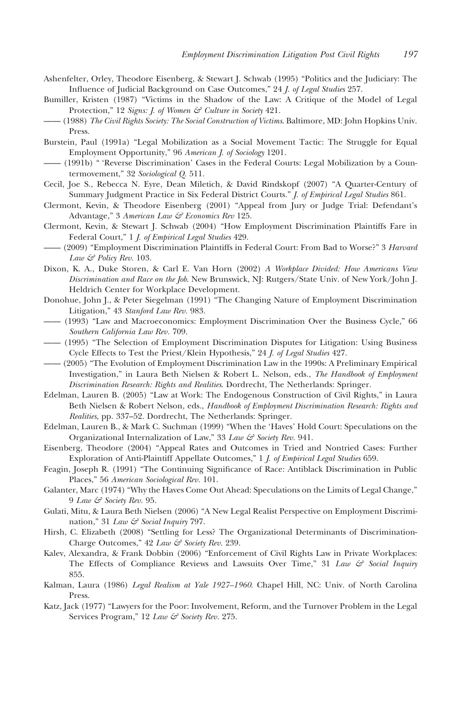- Ashenfelter, Orley, Theodore Eisenberg, & Stewart J. Schwab (1995) "Politics and the Judiciary: The Influence of Judicial Background on Case Outcomes," 24 *J. of Legal Studies* 257.
- Bumiller, Kristen (1987) "Victims in the Shadow of the Law: A Critique of the Model of Legal Protection," 12 *Signs: J. of Women & Culture in Society* 421.
- —— (1988) *The Civil Rights Society: The Social Construction of Victims*. Baltimore, MD: John Hopkins Univ. Press.
- Burstein, Paul (1991a) "Legal Mobilization as a Social Movement Tactic: The Struggle for Equal Employment Opportunity," 96 *American J. of Sociology* 1201.
- —— (1991b) " 'Reverse Discrimination' Cases in the Federal Courts: Legal Mobilization by a Countermovement," 32 *Sociological Q.* 511.
- Cecil, Joe S., Rebecca N. Eyre, Dean Miletich, & David Rindskopf (2007) "A Quarter-Century of Summary Judgment Practice in Six Federal District Courts." *J. of Empirical Legal Studies* 861.
- Clermont, Kevin, & Theodore Eisenberg (2001) "Appeal from Jury or Judge Trial: Defendant's Advantage," 3 *American Law & Economics Rev* 125.
- Clermont, Kevin, & Stewart J. Schwab (2004) "How Employment Discrimination Plaintiffs Fare in Federal Court," 1 *J. of Empirical Legal Studies* 429.
- —— (2009) "Employment Discrimination Plaintiffs in Federal Court: From Bad to Worse?" 3 *Harvard Law & Policy Rev.* 103.
- Dixon, K. A., Duke Storen, & Carl E. Van Horn (2002) *A Workplace Divided: How Americans View Discrimination and Race on the Job*. New Brunswick, NJ: Rutgers/State Univ. of New York/John J. Heldrich Center for Workplace Development.
- Donohue, John J., & Peter Siegelman (1991) "The Changing Nature of Employment Discrimination Litigation," 43 *Stanford Law Rev.* 983.
- —— (1993) "Law and Macroeconomics: Employment Discrimination Over the Business Cycle," 66 *Southern California Law Rev.* 709.
- —— (1995) "The Selection of Employment Discrimination Disputes for Litigation: Using Business Cycle Effects to Test the Priest/Klein Hypothesis," 24 *J. of Legal Studies* 427.
- —— (2005) "The Evolution of Employment Discrimination Law in the 1990s: A Preliminary Empirical Investigation," in Laura Beth Nielsen & Robert L. Nelson, eds., *The Handbook of Employment Discrimination Research: Rights and Realities*. Dordrecht, The Netherlands: Springer.
- Edelman, Lauren B. (2005) "Law at Work: The Endogenous Construction of Civil Rights," in Laura Beth Nielsen & Robert Nelson, eds., *Handbook of Employment Discrimination Research: Rights and Realities*, pp. 337–52. Dordrecht, The Netherlands: Springer.
- Edelman, Lauren B., & Mark C. Suchman (1999) "When the 'Haves' Hold Court: Speculations on the Organizational Internalization of Law," 33 *Law & Society Rev.* 941.
- Eisenberg, Theodore (2004) "Appeal Rates and Outcomes in Tried and Nontried Cases: Further Exploration of Anti-Plaintiff Appellate Outcomes," 1 *J. of Empirical Legal Studies* 659.
- Feagin, Joseph R. (1991) "The Continuing Significance of Race: Antiblack Discrimination in Public Places," 56 *American Sociological Rev.* 101.
- Galanter, Marc (1974) "Why the Haves Come Out Ahead: Speculations on the Limits of Legal Change," 9 *Law & Society Rev.* 95.
- Gulati, Mitu, & Laura Beth Nielsen (2006) "A New Legal Realist Perspective on Employment Discrimination," 31 *Law & Social Inquiry* 797.
- Hirsh, C. Elizabeth (2008) "Settling for Less? The Organizational Determinants of Discrimination-Charge Outcomes," 42 *Law & Society Rev.* 239.
- Kalev, Alexandra, & Frank Dobbin (2006) "Enforcement of Civil Rights Law in Private Workplaces: The Effects of Compliance Reviews and Lawsuits Over Time," 31 *Law & Social Inquiry* 855.
- Kalman, Laura (1986) *Legal Realism at Yale 1927–1960*. Chapel Hill, NC: Univ. of North Carolina Press.
- Katz, Jack (1977) "Lawyers for the Poor: Involvement, Reform, and the Turnover Problem in the Legal Services Program," 12 *Law & Society Rev.* 275.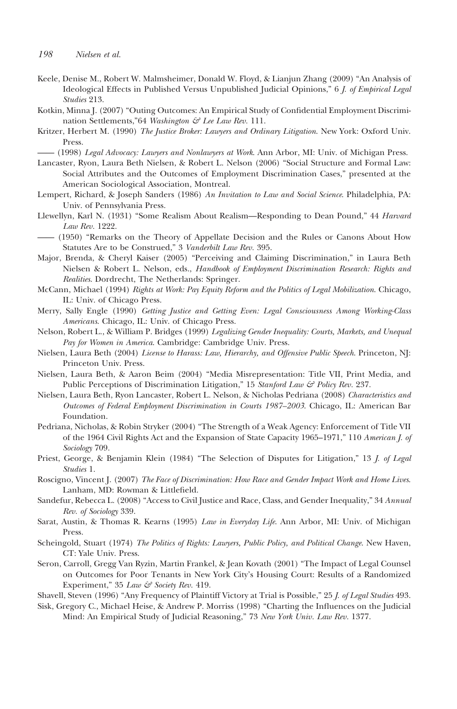- Keele, Denise M., Robert W. Malmsheimer, Donald W. Floyd, & Lianjun Zhang (2009) "An Analysis of Ideological Effects in Published Versus Unpublished Judicial Opinions," 6 *J. of Empirical Legal Studies* 213.
- Kotkin, Minna J. (2007) "Outing Outcomes: An Empirical Study of Confidential Employment Discrimination Settlements,"64 *Washington & Lee Law Rev.* 111.
- Kritzer, Herbert M. (1990) *The Justice Broker: Lawyers and Ordinary Litigation*. New York: Oxford Univ. Press.
- —— (1998) *Legal Advocacy: Lawyers and Nonlawyers at Work*. Ann Arbor, MI: Univ. of Michigan Press.
- Lancaster, Ryon, Laura Beth Nielsen, & Robert L. Nelson (2006) "Social Structure and Formal Law: Social Attributes and the Outcomes of Employment Discrimination Cases," presented at the American Sociological Association, Montreal.
- Lempert, Richard, & Joseph Sanders (1986) *An Invitation to Law and Social Science*. Philadelphia, PA: Univ. of Pennsylvania Press.
- Llewellyn, Karl N. (1931) "Some Realism About Realism—Responding to Dean Pound," 44 *Harvard Law Rev.* 1222.
- —— (1950) "Remarks on the Theory of Appellate Decision and the Rules or Canons About How Statutes Are to be Construed," 3 *Vanderbilt Law Rev.* 395.
- Major, Brenda, & Cheryl Kaiser (2005) "Perceiving and Claiming Discrimination," in Laura Beth Nielsen & Robert L. Nelson, eds., *Handbook of Employment Discrimination Research: Rights and Realities*. Dordrecht, The Netherlands: Springer.
- McCann, Michael (1994) *Rights at Work: Pay Equity Reform and the Politics of Legal Mobilization*. Chicago, IL: Univ. of Chicago Press.
- Merry, Sally Engle (1990) *Getting Justice and Getting Even: Legal Consciousness Among Working-Class Americans*. Chicago, IL: Univ. of Chicago Press.
- Nelson, Robert L., & William P. Bridges (1999) *Legalizing Gender Inequality: Courts, Markets, and Unequal Pay for Women in America*. Cambridge: Cambridge Univ. Press.
- Nielsen, Laura Beth (2004) *License to Harass: Law, Hierarchy, and Offensive Public Speech*. Princeton, NJ: Princeton Univ. Press.
- Nielsen, Laura Beth, & Aaron Beim (2004) "Media Misrepresentation: Title VII, Print Media, and Public Perceptions of Discrimination Litigation," 15 *Stanford Law & Policy Rev.* 237.
- Nielsen, Laura Beth, Ryon Lancaster, Robert L. Nelson, & Nicholas Pedriana (2008) *Characteristics and Outcomes of Federal Employment Discrimination in Courts 1987–2003*. Chicago, IL: American Bar Foundation.
- Pedriana, Nicholas, & Robin Stryker (2004) "The Strength of a Weak Agency: Enforcement of Title VII of the 1964 Civil Rights Act and the Expansion of State Capacity 1965–1971," 110 *American J. of Sociology* 709.
- Priest, George, & Benjamin Klein (1984) "The Selection of Disputes for Litigation," 13 *J. of Legal Studies* 1.
- Roscigno, Vincent J. (2007) *The Face of Discrimination: How Race and Gender Impact Work and Home Lives*. Lanham, MD: Rowman & Littlefield.
- Sandefur, Rebecca L. (2008) "Access to Civil Justice and Race, Class, and Gender Inequality," 34 *Annual Rev. of Sociology* 339.
- Sarat, Austin, & Thomas R. Kearns (1995) *Law in Everyday Life*. Ann Arbor, MI: Univ. of Michigan Press.
- Scheingold, Stuart (1974) *The Politics of Rights: Lawyers, Public Policy, and Political Change*. New Haven, CT: Yale Univ. Press.
- Seron, Carroll, Gregg Van Ryzin, Martin Frankel, & Jean Kovath (2001) "The Impact of Legal Counsel on Outcomes for Poor Tenants in New York City's Housing Court: Results of a Randomized Experiment," 35 *Law & Society Rev.* 419.
- Shavell, Steven (1996) "Any Frequency of Plaintiff Victory at Trial is Possible," 25 *J. of Legal Studies* 493.
- Sisk, Gregory C., Michael Heise, & Andrew P. Morriss (1998) "Charting the Influences on the Judicial Mind: An Empirical Study of Judicial Reasoning," 73 *New York Univ. Law Rev.* 1377.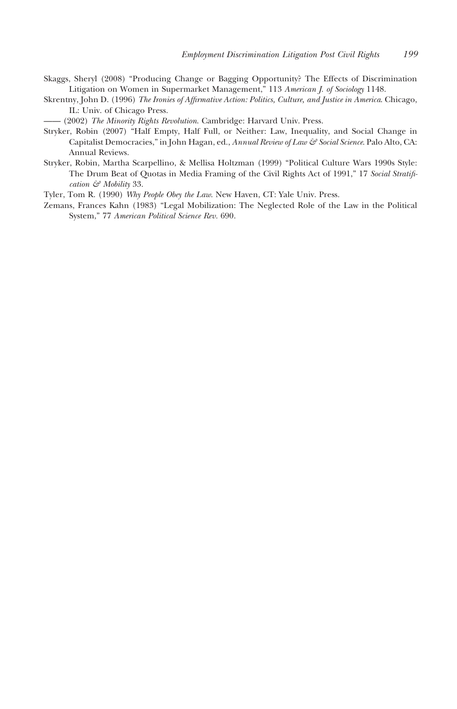- Skaggs, Sheryl (2008) "Producing Change or Bagging Opportunity? The Effects of Discrimination Litigation on Women in Supermarket Management," 113 *American J. of Sociology* 1148.
- Skrentny, John D. (1996) *The Ironies of Affirmative Action: Politics, Culture, and Justice in America*. Chicago, IL: Univ. of Chicago Press.

—— (2002) *The Minority Rights Revolution*. Cambridge: Harvard Univ. Press.

- Stryker, Robin (2007) "Half Empty, Half Full, or Neither: Law, Inequality, and Social Change in Capitalist Democracies," in John Hagan, ed., *Annual Review of Law & Social Science*. Palo Alto, CA: Annual Reviews.
- Stryker, Robin, Martha Scarpellino, & Mellisa Holtzman (1999) "Political Culture Wars 1990s Style: The Drum Beat of Quotas in Media Framing of the Civil Rights Act of 1991," 17 *Social Stratification & Mobility* 33.

Tyler, Tom R. (1990) *Why People Obey the Law*. New Haven, CT: Yale Univ. Press.

Zemans, Frances Kahn (1983) "Legal Mobilization: The Neglected Role of the Law in the Political System," 77 *American Political Science Rev.* 690.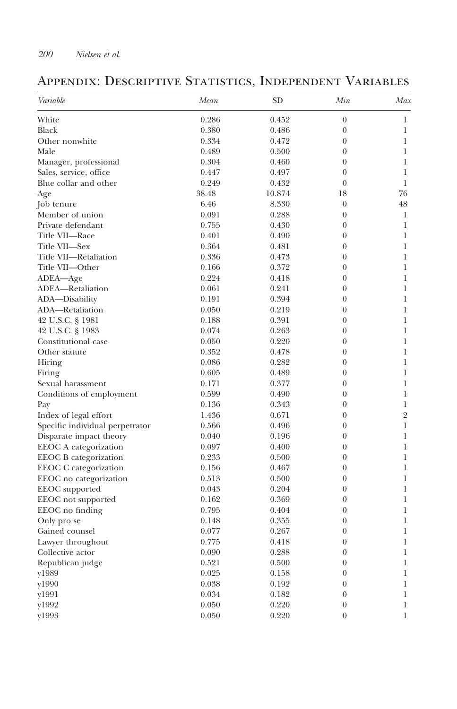Appendix: Descriptive Statistics, Independent Variables

| Variable                        | Mean  | SD     | Min              | Max            |
|---------------------------------|-------|--------|------------------|----------------|
| White                           | 0.286 | 0.452  | $\boldsymbol{0}$ | 1              |
| <b>Black</b>                    | 0.380 | 0.486  | $\theta$         | $\mathbf{1}$   |
| Other nonwhite                  | 0.334 | 0.472  | $\overline{0}$   | $\mathbf{1}$   |
| Male                            | 0.489 | 0.500  | $\theta$         | $\mathbf 1$    |
| Manager, professional           | 0.304 | 0.460  | $\boldsymbol{0}$ | $\mathbf 1$    |
| Sales, service, office          | 0.447 | 0.497  | $\overline{0}$   | 1              |
| Blue collar and other           | 0.249 | 0.432  | $\theta$         | 1              |
| Age                             | 38.48 | 10.874 | 18               | 76             |
| Job tenure                      | 6.46  | 8.330  | $\boldsymbol{0}$ | 48             |
| Member of union                 | 0.091 | 0.288  | $\boldsymbol{0}$ | 1              |
| Private defendant               | 0.755 | 0.430  | $\boldsymbol{0}$ | $\mathbf{1}$   |
| Title VII-Race                  | 0.401 | 0.490  | $\theta$         | 1              |
| Title VII—Sex                   | 0.364 | 0.481  | $\theta$         | 1              |
| Title VII—Retaliation           | 0.336 | 0.473  | $\theta$         | 1              |
| Title VII—Other                 | 0.166 | 0.372  | $\theta$         | $\mathbf{1}$   |
| ADEA-Age                        | 0.224 | 0.418  | $\theta$         | $\mathbf 1$    |
| ADEA-Retaliation                | 0.061 | 0.241  | $\theta$         | $\mathbf 1$    |
| ADA-Disability                  | 0.191 | 0.394  | $\theta$         | $\mathbf{1}$   |
| ADA-Retaliation                 | 0.050 | 0.219  | $\boldsymbol{0}$ | $\mathbf 1$    |
| 42 U.S.C. § 1981                | 0.188 | 0.391  | $\boldsymbol{0}$ | 1              |
| 42 U.S.C. § 1983                | 0.074 | 0.263  | $\theta$         | 1              |
| Constitutional case             | 0.050 | 0.220  | $\theta$         | 1              |
| Other statute                   | 0.352 | 0.478  | $\theta$         | $\mathbf 1$    |
| Hiring                          | 0.086 | 0.282  | $\theta$         | $\mathbf 1$    |
| Firing                          | 0.605 | 0.489  | $\boldsymbol{0}$ | 1              |
| Sexual harassment               | 0.171 | 0.377  | $\boldsymbol{0}$ | $\mathbf 1$    |
| Conditions of employment        | 0.599 | 0.490  | $\theta$         | 1              |
| Pay                             | 0.136 | 0.343  | $\theta$         | 1              |
| Index of legal effort           | 1.436 | 0.671  | $\theta$         | $\overline{2}$ |
| Specific individual perpetrator | 0.566 | 0.496  | $\overline{0}$   | $\mathbf{1}$   |
| Disparate impact theory         | 0.040 | 0.196  | $\overline{0}$   | $\mathbf{1}$   |
| <b>EEOC</b> A categorization    | 0.097 | 0.400  | $\overline{0}$   | $\mathbf{1}$   |
| <b>EEOC</b> B categorization    | 0.233 | 0.500  | $\overline{0}$   | $\mathbf{1}$   |
| EEOC C categorization           | 0.156 | 0.467  | $\overline{0}$   | $\mathbf{1}$   |
| EEOC no categorization          | 0.513 | 0.500  | $\boldsymbol{0}$ | $\mathbf 1$    |
| EEOC supported                  | 0.043 | 0.204  | $\theta$         | $\mathbf{1}$   |
| EEOC not supported              | 0.162 | 0.369  | $\theta$         | 1              |
| EEOC no finding                 | 0.795 | 0.404  | $\theta$         | $\mathbf 1$    |
| Only pro se                     | 0.148 | 0.355  | $\theta$         | $\mathbf 1$    |
| Gained counsel                  | 0.077 | 0.267  | $\boldsymbol{0}$ | $\mathbf 1$    |
| Lawyer throughout               | 0.775 | 0.418  | $\boldsymbol{0}$ | 1              |
| Collective actor                | 0.090 | 0.288  | $\boldsymbol{0}$ | 1              |
| Republican judge                | 0.521 | 0.500  | $\boldsymbol{0}$ | 1              |
| y1989                           | 0.025 | 0.158  | $\theta$         | 1              |
| y1990                           | 0.038 | 0.192  | $\theta$         | 1              |
| y1991                           | 0.034 | 0.182  | $\theta$         | $\mathbf 1$    |
| y1992                           | 0.050 | 0.220  | $\overline{0}$   | $\mathbf 1$    |
| y1993                           | 0.050 | 0.220  | $\overline{0}$   | $\mathbf{1}$   |